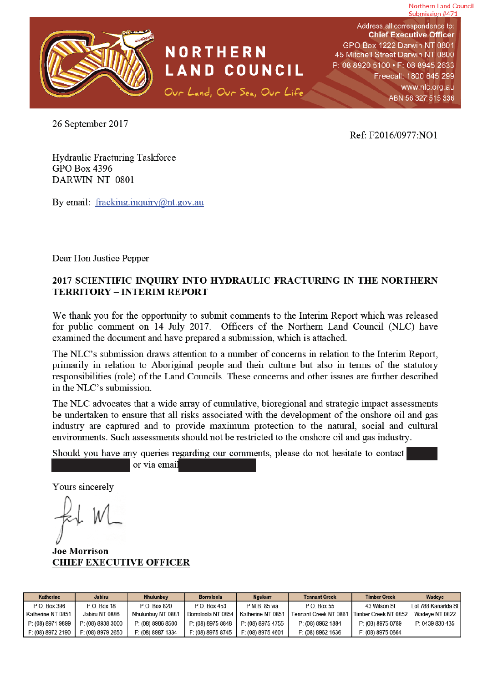**Northern Land Council** Submission #471



**NORTHERN LAND COUNCIL** 

Our Land, Our Sea, Our Life,

Address all correspondence to: **Chief Executive Officer** GPO Box 1222 Darwin NT 0801 45 Mitchell Street Darwin NT 0800 P: 08 8920 5100 · F: 08 8945 2633 Freecall: 1800 645 299 www.nlc.org.au ABN 56 327 515 336

26 September 2017

Ref: F2016/0977:NO1

Hydraulic Fracturing Taskforce **GPO Box 4396** DARWIN NT 0801

By email: fracking.inquiry@nt.gov.au

Dear Hon Justice Pepper

# 2017 SCIENTIFIC INQUIRY INTO HYDRAULIC FRACTURING IN THE NORTHERN **TERRITORY - INTERIM REPORT**

We thank you for the opportunity to submit comments to the Interim Report which was released for public comment on 14 July 2017. Officers of the Northern Land Council (NLC) have examined the document and have prepared a submission, which is attached.

The NLC's submission draws attention to a number of concerns in relation to the Interim Report, primarily in relation to Aboriginal people and their culture but also in terms of the statutory responsibilities (role) of the Land Councils. These concerns and other issues are further described in the NLC's submission

The NLC advocates that a wide array of cumulative, bioregional and strategic impact assessments be undertaken to ensure that all risks associated with the development of the onshore oil and gas industry are captured and to provide maximum protection to the natural, social and cultural environments. Such assessments should not be restricted to the onshore oil and gas industry.

Should you have any queries regarding our comments, please do not hesitate to contact

or via email

Yours sincerely

**Joe Morrison CHIEF EXECUTIVE OFFICER** 

| <b>Katherine</b>  | <b>Jabiru</b>     | <b>Nhulunbuy</b>  | <b>Borroloola</b>  | <b>Ngukurr</b>    | <b>Tennant Creek</b>  | <b>Timber Creek</b>  | Wadeve                  |
|-------------------|-------------------|-------------------|--------------------|-------------------|-----------------------|----------------------|-------------------------|
| P.O. Box 396      | P.O. Box 18       | P.O. Box 820      | P.O. Box 453       | P.M.B. 85 via     | P.O. Box 55           | 43 Wilson St         | l Lot 788 Kanarlda St I |
| Katherine NT 0851 | Jabiru NT 0886    | Nhulunbuy NT 0881 | Borroloola NT 0854 | Katherine NT 0851 | Tennant Creek NT 0861 | Timber Creek NT 0852 | Wadeve NT 0822          |
| P: (08) 8971 9899 | P: (08) 8938 3000 | P: (08) 8986 8500 | P: (08) 8975 8848  | P: (08) 8975 4755 | P: (08) 8962 1884     | P: (08) 8975 0789    | P: 0439 830 435         |
| F: (08) 8972 2190 | F: (08) 8979 2650 | F: (08) 8987 1334 | F: (08) 8975 8745  | F: (08) 8975 4601 | F: (08) 8962 1636     | F: (08) 8975 0664    |                         |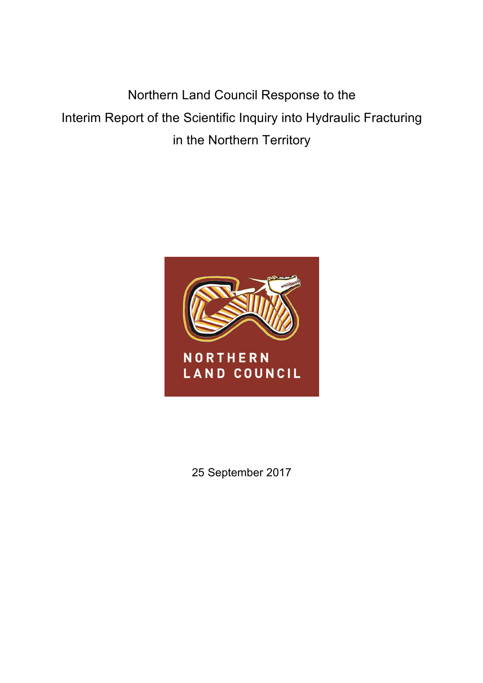# Northern Land Council Response to the Interim Report of the Scientific Inquiry into Hydraulic Fracturing in the Northern Territory



25 September 2017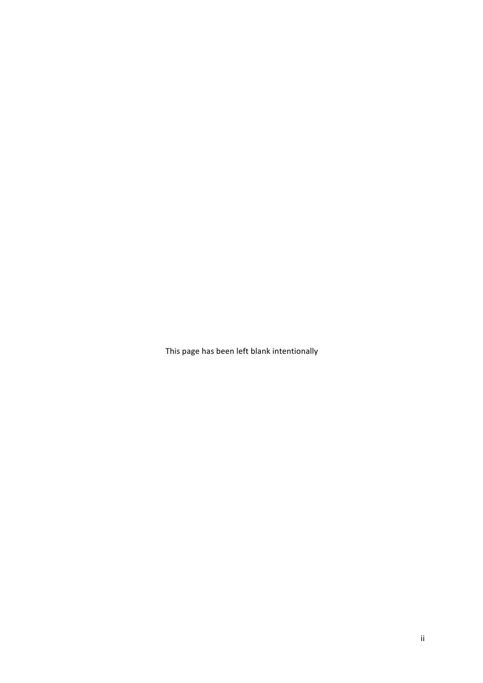This page has been left blank intentionally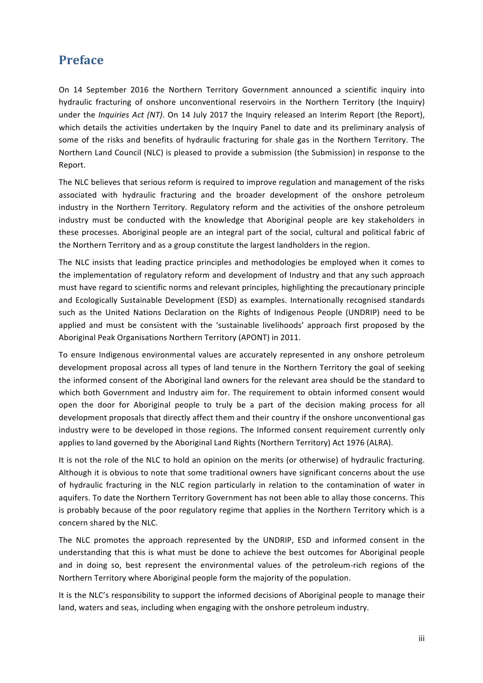# **Preface**

On 14 September 2016 the Northern Territory Government announced a scientific inquiry into hydraulic fracturing of onshore unconventional reservoirs in the Northern Territory (the Inquiry) under the *Inquiries Act* (NT). On 14 July 2017 the Inquiry released an Interim Report (the Report), which details the activities undertaken by the Inquiry Panel to date and its preliminary analysis of some of the risks and benefits of hydraulic fracturing for shale gas in the Northern Territory. The Northern Land Council (NLC) is pleased to provide a submission (the Submission) in response to the Report.

The NLC believes that serious reform is required to improve regulation and management of the risks associated with hydraulic fracturing and the broader development of the onshore petroleum industry in the Northern Territory. Regulatory reform and the activities of the onshore petroleum industry must be conducted with the knowledge that Aboriginal people are key stakeholders in these processes. Aboriginal people are an integral part of the social, cultural and political fabric of the Northern Territory and as a group constitute the largest landholders in the region.

The NLC insists that leading practice principles and methodologies be employed when it comes to the implementation of regulatory reform and development of Industry and that any such approach must have regard to scientific norms and relevant principles, highlighting the precautionary principle and Ecologically Sustainable Development (ESD) as examples. Internationally recognised standards such as the United Nations Declaration on the Rights of Indigenous People (UNDRIP) need to be applied and must be consistent with the 'sustainable livelihoods' approach first proposed by the Aboriginal Peak Organisations Northern Territory (APONT) in 2011.

To ensure Indigenous environmental values are accurately represented in any onshore petroleum development proposal across all types of land tenure in the Northern Territory the goal of seeking the informed consent of the Aboriginal land owners for the relevant area should be the standard to which both Government and Industry aim for. The requirement to obtain informed consent would open the door for Aboriginal people to truly be a part of the decision making process for all development proposals that directly affect them and their country if the onshore unconventional gas industry were to be developed in those regions. The Informed consent requirement currently only applies to land governed by the Aboriginal Land Rights (Northern Territory) Act 1976 (ALRA).

It is not the role of the NLC to hold an opinion on the merits (or otherwise) of hydraulic fracturing. Although it is obvious to note that some traditional owners have significant concerns about the use of hydraulic fracturing in the NLC region particularly in relation to the contamination of water in aquifers. To date the Northern Territory Government has not been able to allay those concerns. This is probably because of the poor regulatory regime that applies in the Northern Territory which is a concern shared by the NLC.

The NLC promotes the approach represented by the UNDRIP, ESD and informed consent in the understanding that this is what must be done to achieve the best outcomes for Aboriginal people and in doing so, best represent the environmental values of the petroleum-rich regions of the Northern Territory where Aboriginal people form the majority of the population.

It is the NLC's responsibility to support the informed decisions of Aboriginal people to manage their land, waters and seas, including when engaging with the onshore petroleum industry.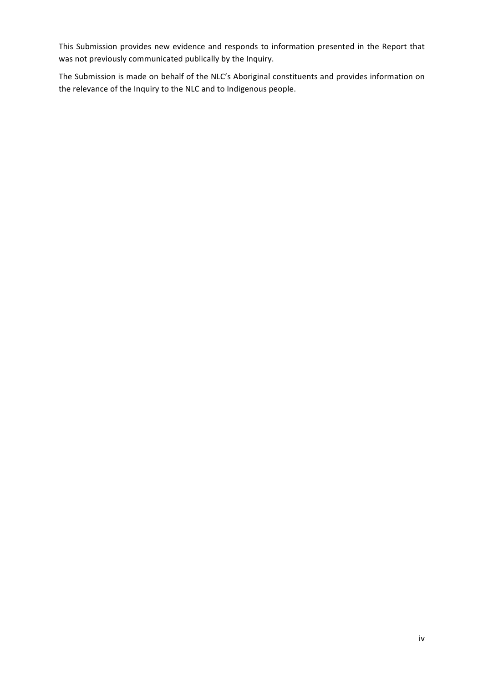This Submission provides new evidence and responds to information presented in the Report that was not previously communicated publically by the Inquiry.

The Submission is made on behalf of the NLC's Aboriginal constituents and provides information on the relevance of the Inquiry to the NLC and to Indigenous people.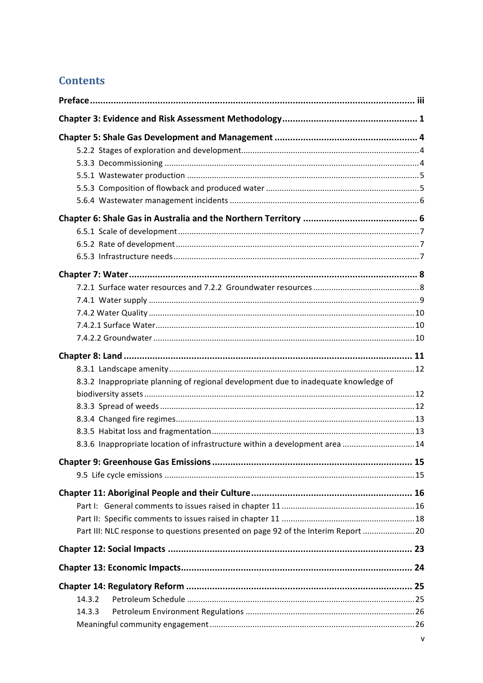# **Contents**

| 8.3.2 Inappropriate planning of regional development due to inadequate knowledge of |  |
|-------------------------------------------------------------------------------------|--|
|                                                                                     |  |
|                                                                                     |  |
|                                                                                     |  |
|                                                                                     |  |
| 8.3.6 Inappropriate location of infrastructure within a development area  14        |  |
|                                                                                     |  |
|                                                                                     |  |
|                                                                                     |  |
|                                                                                     |  |
|                                                                                     |  |
| Part III: NLC response to questions presented on page 92 of the Interim Report  20  |  |
|                                                                                     |  |
|                                                                                     |  |
|                                                                                     |  |
| 14.3.2                                                                              |  |
| 14.3.3                                                                              |  |
|                                                                                     |  |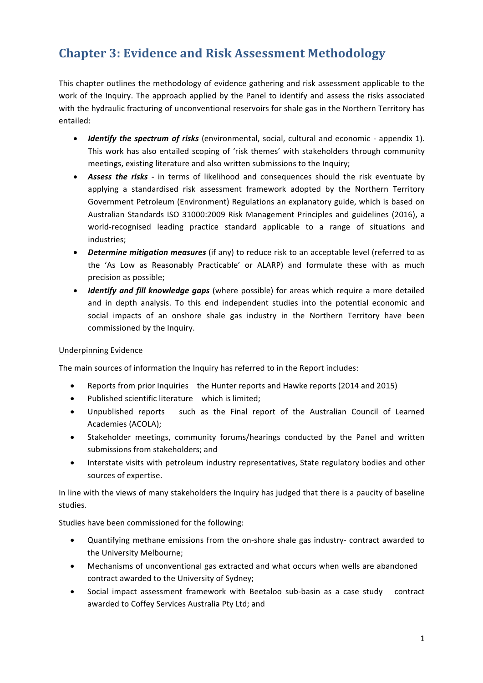# **Chapter 3: Evidence and Risk Assessment Methodology**

This chapter outlines the methodology of evidence gathering and risk assessment applicable to the work of the Inquiry. The approach applied by the Panel to identify and assess the risks associated with the hydraulic fracturing of unconventional reservoirs for shale gas in the Northern Territory has entailed:

- *Identify the spectrum of risks* (environmental, social, cultural and economic appendix 1). This work has also entailed scoping of 'risk themes' with stakeholders through community meetings, existing literature and also written submissions to the Inquiry;
- **Assess the risks** in terms of likelihood and consequences should the risk eventuate by applying a standardised risk assessment framework adopted by the Northern Territory Government Petroleum (Environment) Regulations an explanatory guide, which is based on Australian Standards ISO 31000:2009 Risk Management Principles and guidelines (2016), a world-recognised leading practice standard applicable to a range of situations and industries;
- **Determine mitigation measures** (if any) to reduce risk to an acceptable level (referred to as the 'As Low as Reasonably Practicable' or ALARP) and formulate these with as much precision as possible;
- *Identify and fill knowledge gaps* (where possible) for areas which require a more detailed and in depth analysis. To this end independent studies into the potential economic and social impacts of an onshore shale gas industry in the Northern Territory have been commissioned by the Inquiry.

### Underpinning Evidence

The main sources of information the Inquiry has referred to in the Report includes:

- Reports from prior Inquiries the Hunter reports and Hawke reports (2014 and 2015)
- Published scientific literature which is limited;
- Unpublished reports such as the Final report of the Australian Council of Learned Academies (ACOLA);
- Stakeholder meetings, community forums/hearings conducted by the Panel and written submissions from stakeholders; and
- Interstate visits with petroleum industry representatives, State regulatory bodies and other sources of expertise.

In line with the views of many stakeholders the Inquiry has judged that there is a paucity of baseline studies.

Studies have been commissioned for the following:

- Quantifying methane emissions from the on-shore shale gas industry- contract awarded to the University Melbourne;
- Mechanisms of unconventional gas extracted and what occurs when wells are abandoned contract awarded to the University of Sydney;
- Social impact assessment framework with Beetaloo sub-basin as a case study contract awarded to Coffey Services Australia Pty Ltd; and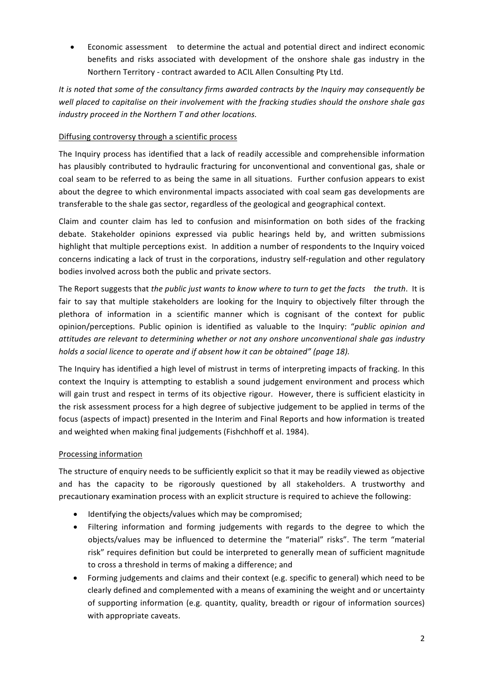• Economic assessment to determine the actual and potential direct and indirect economic benefits and risks associated with development of the onshore shale gas industry in the Northern Territory - contract awarded to ACIL Allen Consulting Pty Ltd.

It is noted that some of the consultancy firms awarded contracts by the Inquiry may consequently be well placed to capitalise on their involvement with the fracking studies should the onshore shale gas *industry proceed in the Northern T and other locations.* 

### Diffusing controversy through a scientific process

The Inquiry process has identified that a lack of readily accessible and comprehensible information has plausibly contributed to hydraulic fracturing for unconventional and conventional gas, shale or coal seam to be referred to as being the same in all situations. Further confusion appears to exist about the degree to which environmental impacts associated with coal seam gas developments are transferable to the shale gas sector, regardless of the geological and geographical context.

Claim and counter claim has led to confusion and misinformation on both sides of the fracking debate. Stakeholder opinions expressed via public hearings held by, and written submissions highlight that multiple perceptions exist. In addition a number of respondents to the Inquiry voiced concerns indicating a lack of trust in the corporations, industry self-regulation and other regulatory bodies involved across both the public and private sectors.

The Report suggests that *the public just wants to know where to turn to get the facts the truth*. It is fair to say that multiple stakeholders are looking for the Inquiry to objectively filter through the plethora of information in a scientific manner which is cognisant of the context for public opinion/perceptions. Public opinion is identified as valuable to the Inquiry: "*public opinion and attitudes are relevant to determining whether or not any onshore unconventional shale gas industry holds a social licence to operate and if absent how it can be obtained" (page 18).* 

The Inquiry has identified a high level of mistrust in terms of interpreting impacts of fracking. In this context the Inquiry is attempting to establish a sound judgement environment and process which will gain trust and respect in terms of its objective rigour. However, there is sufficient elasticity in the risk assessment process for a high degree of subjective judgement to be applied in terms of the focus (aspects of impact) presented in the Interim and Final Reports and how information is treated and weighted when making final judgements (Fishchhoff et al. 1984).

## Processing information

The structure of enquiry needs to be sufficiently explicit so that it may be readily viewed as objective and has the capacity to be rigorously questioned by all stakeholders. A trustworthy and precautionary examination process with an explicit structure is required to achieve the following:

- Identifying the objects/values which may be compromised;
- Filtering information and forming judgements with regards to the degree to which the objects/values may be influenced to determine the "material" risks". The term "material risk" requires definition but could be interpreted to generally mean of sufficient magnitude to cross a threshold in terms of making a difference; and
- Forming judgements and claims and their context (e.g. specific to general) which need to be clearly defined and complemented with a means of examining the weight and or uncertainty of supporting information (e.g. quantity, quality, breadth or rigour of information sources) with appropriate caveats.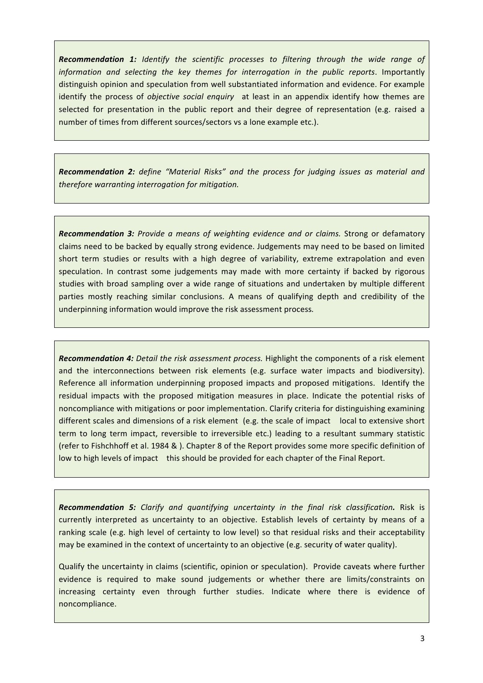**Recommendation 1:** *Identify* the scientific processes to filtering through the wide range of *information* and selecting the key themes for interrogation in the public reports. Importantly distinguish opinion and speculation from well substantiated information and evidence. For example identify the process of *objective social enquiry* at least in an appendix identify how themes are selected for presentation in the public report and their degree of representation (e.g. raised a number of times from different sources/sectors vs a lone example etc.).

**Recommendation 2:** define "Material Risks" and the process for judging issues as material and *therefore warranting interrogation for mitigation.* 

**Recommendation 3:** Provide a means of weighting evidence and or claims. Strong or defamatory claims need to be backed by equally strong evidence. Judgements may need to be based on limited short term studies or results with a high degree of variability, extreme extrapolation and even speculation. In contrast some judgements may made with more certainty if backed by rigorous studies with broad sampling over a wide range of situations and undertaken by multiple different parties mostly reaching similar conclusions. A means of qualifying depth and credibility of the underpinning information would improve the risk assessment process.

**Recommendation 4:** Detail the risk assessment process. Highlight the components of a risk element and the interconnections between risk elements (e.g. surface water impacts and biodiversity). Reference all information underpinning proposed impacts and proposed mitigations. Identify the residual impacts with the proposed mitigation measures in place. Indicate the potential risks of noncompliance with mitigations or poor implementation. Clarify criteria for distinguishing examining different scales and dimensions of a risk element (e.g. the scale of impact local to extensive short term to long term impact, reversible to irreversible etc.) leading to a resultant summary statistic (refer to Fishchhoff et al. 1984 & ). Chapter 8 of the Report provides some more specific definition of low to high levels of impact this should be provided for each chapter of the Final Report.

*Recommendation 5: Clarify and quantifying uncertainty in the final risk classification.* Risk is currently interpreted as uncertainty to an objective. Establish levels of certainty by means of a ranking scale (e.g. high level of certainty to low level) so that residual risks and their acceptability may be examined in the context of uncertainty to an objective (e.g. security of water quality).

Qualify the uncertainty in claims (scientific, opinion or speculation). Provide caveats where further evidence is required to make sound judgements or whether there are limits/constraints on increasing certainty even through further studies. Indicate where there is evidence of noncompliance.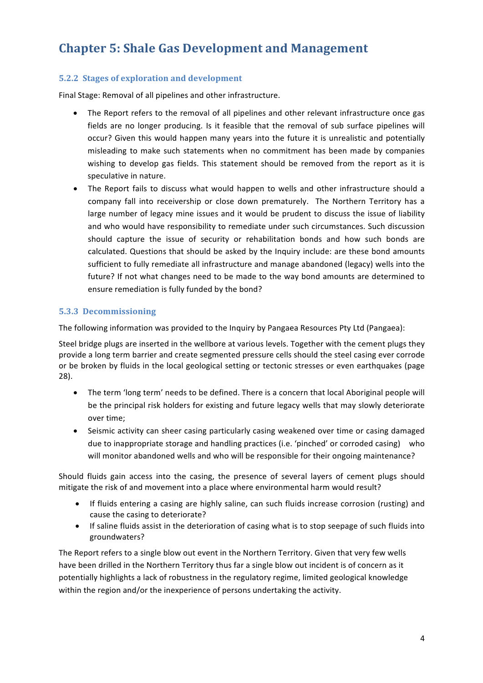# **Chapter 5: Shale Gas Development and Management**

### **5.2.2** Stages of exploration and development

Final Stage: Removal of all pipelines and other infrastructure.

- The Report refers to the removal of all pipelines and other relevant infrastructure once gas fields are no longer producing. Is it feasible that the removal of sub surface pipelines will occur? Given this would happen many years into the future it is unrealistic and potentially misleading to make such statements when no commitment has been made by companies wishing to develop gas fields. This statement should be removed from the report as it is speculative in nature.
- The Report fails to discuss what would happen to wells and other infrastructure should a company fall into receivership or close down prematurely. The Northern Territory has a large number of legacy mine issues and it would be prudent to discuss the issue of liability and who would have responsibility to remediate under such circumstances. Such discussion should capture the issue of security or rehabilitation bonds and how such bonds are calculated. Questions that should be asked by the Inquiry include: are these bond amounts sufficient to fully remediate all infrastructure and manage abandoned (legacy) wells into the future? If not what changes need to be made to the way bond amounts are determined to ensure remediation is fully funded by the bond?

### **5.3.3 Decommissioning**

The following information was provided to the Inquiry by Pangaea Resources Pty Ltd (Pangaea):

Steel bridge plugs are inserted in the wellbore at various levels. Together with the cement plugs they provide a long term barrier and create segmented pressure cells should the steel casing ever corrode or be broken by fluids in the local geological setting or tectonic stresses or even earthquakes (page 28).

- The term 'long term' needs to be defined. There is a concern that local Aboriginal people will be the principal risk holders for existing and future legacy wells that may slowly deteriorate over time;
- Seismic activity can sheer casing particularly casing weakened over time or casing damaged due to inappropriate storage and handling practices (i.e. 'pinched' or corroded casing) who will monitor abandoned wells and who will be responsible for their ongoing maintenance?

Should fluids gain access into the casing, the presence of several layers of cement plugs should mitigate the risk of and movement into a place where environmental harm would result?

- If fluids entering a casing are highly saline, can such fluids increase corrosion (rusting) and cause the casing to deteriorate?
- If saline fluids assist in the deterioration of casing what is to stop seepage of such fluids into groundwaters?

The Report refers to a single blow out event in the Northern Territory. Given that very few wells have been drilled in the Northern Territory thus far a single blow out incident is of concern as it potentially highlights a lack of robustness in the regulatory regime, limited geological knowledge within the region and/or the inexperience of persons undertaking the activity.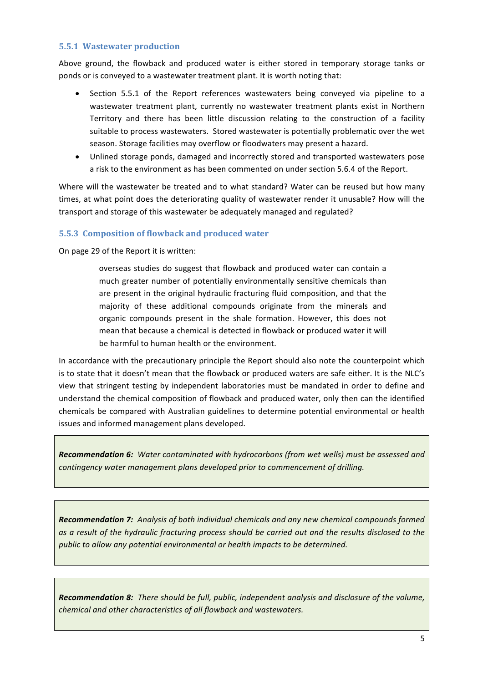#### **5.5.1 Wastewater production**

Above ground, the flowback and produced water is either stored in temporary storage tanks or ponds or is conveyed to a wastewater treatment plant. It is worth noting that:

- Section 5.5.1 of the Report references wastewaters being conveyed via pipeline to a wastewater treatment plant, currently no wastewater treatment plants exist in Northern Territory and there has been little discussion relating to the construction of a facility suitable to process wastewaters. Stored wastewater is potentially problematic over the wet season. Storage facilities may overflow or floodwaters may present a hazard.
- Unlined storage ponds, damaged and incorrectly stored and transported wastewaters pose a risk to the environment as has been commented on under section 5.6.4 of the Report.

Where will the wastewater be treated and to what standard? Water can be reused but how many times, at what point does the deteriorating quality of wastewater render it unusable? How will the transport and storage of this wastewater be adequately managed and regulated?

### **5.5.3** Composition of flowback and produced water

On page 29 of the Report it is written:

overseas studies do suggest that flowback and produced water can contain a much greater number of potentially environmentally sensitive chemicals than are present in the original hydraulic fracturing fluid composition, and that the majority of these additional compounds originate from the minerals and organic compounds present in the shale formation. However, this does not mean that because a chemical is detected in flowback or produced water it will be harmful to human health or the environment.

In accordance with the precautionary principle the Report should also note the counterpoint which is to state that it doesn't mean that the flowback or produced waters are safe either. It is the NLC's view that stringent testing by independent laboratories must be mandated in order to define and understand the chemical composition of flowback and produced water, only then can the identified chemicals be compared with Australian guidelines to determine potential environmental or health issues and informed management plans developed.

**Recommendation 6:** Water contaminated with hydrocarbons (from wet wells) must be assessed and *contingency water management plans developed prior to commencement of drilling.* 

**Recommendation 7:** Analysis of both individual chemicals and any new chemical compounds formed as a result of the hydraulic fracturing process should be carried out and the results disclosed to the *public* to allow any potential environmental or health impacts to be determined.

**Recommendation 8:** There should be full, public, independent analysis and disclosure of the volume, *chemical and other characteristics of all flowback and wastewaters.*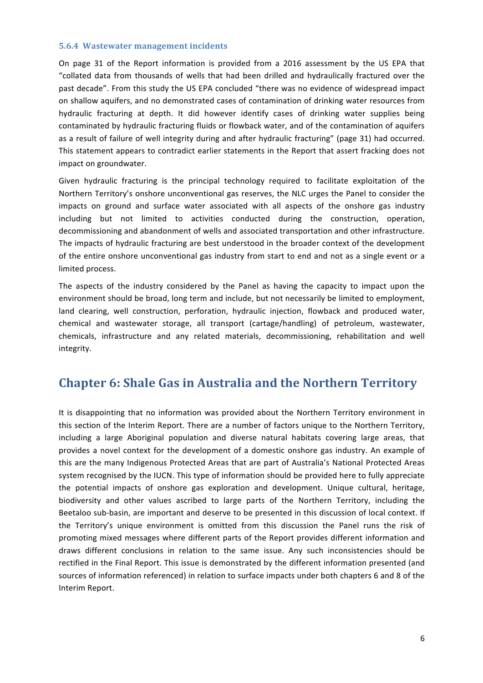#### **5.6.4 Wastewater management incidents**

On page 31 of the Report information is provided from a 2016 assessment by the US EPA that "collated data from thousands of wells that had been drilled and hydraulically fractured over the past decade". From this study the US EPA concluded "there was no evidence of widespread impact on shallow aquifers, and no demonstrated cases of contamination of drinking water resources from hydraulic fracturing at depth. It did however identify cases of drinking water supplies being contaminated by hydraulic fracturing fluids or flowback water, and of the contamination of aquifers as a result of failure of well integrity during and after hydraulic fracturing" (page 31) had occurred. This statement appears to contradict earlier statements in the Report that assert fracking does not impact on groundwater.

Given hydraulic fracturing is the principal technology required to facilitate exploitation of the Northern Territory's onshore unconventional gas reserves, the NLC urges the Panel to consider the impacts on ground and surface water associated with all aspects of the onshore gas industry including but not limited to activities conducted during the construction, operation, decommissioning and abandonment of wells and associated transportation and other infrastructure. The impacts of hydraulic fracturing are best understood in the broader context of the development of the entire onshore unconventional gas industry from start to end and not as a single event or a limited process.

The aspects of the industry considered by the Panel as having the capacity to impact upon the environment should be broad, long term and include, but not necessarily be limited to employment, land clearing, well construction, perforation, hydraulic injection, flowback and produced water, chemical and wastewater storage, all transport (cartage/handling) of petroleum, wastewater, chemicals, infrastructure and any related materials, decommissioning, rehabilitation and well integrity.

# **Chapter 6: Shale Gas in Australia and the Northern Territory**

It is disappointing that no information was provided about the Northern Territory environment in this section of the Interim Report. There are a number of factors unique to the Northern Territory, including a large Aboriginal population and diverse natural habitats covering large areas, that provides a novel context for the development of a domestic onshore gas industry. An example of this are the many Indigenous Protected Areas that are part of Australia's National Protected Areas system recognised by the IUCN. This type of information should be provided here to fully appreciate the potential impacts of onshore gas exploration and development. Unique cultural, heritage, biodiversity and other values ascribed to large parts of the Northern Territory, including the Beetaloo sub-basin, are important and deserve to be presented in this discussion of local context. If the Territory's unique environment is omitted from this discussion the Panel runs the risk of promoting mixed messages where different parts of the Report provides different information and draws different conclusions in relation to the same issue. Any such inconsistencies should be rectified in the Final Report. This issue is demonstrated by the different information presented (and sources of information referenced) in relation to surface impacts under both chapters 6 and 8 of the Interim Report.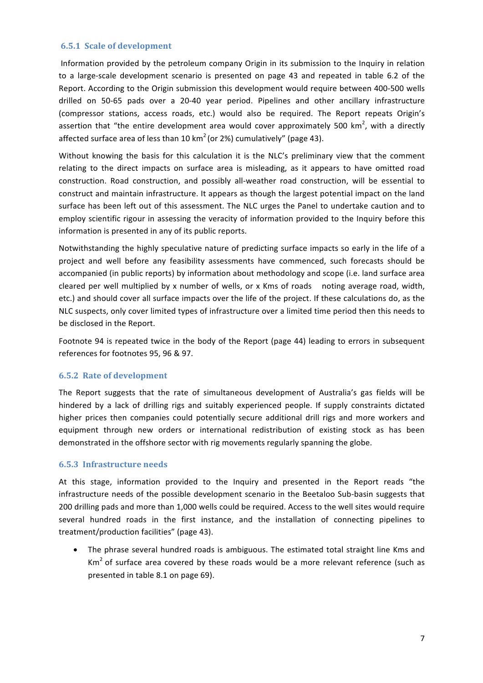#### **6.5.1 Scale of development**

Information provided by the petroleum company Origin in its submission to the Inquiry in relation to a large-scale development scenario is presented on page 43 and repeated in table 6.2 of the Report. According to the Origin submission this development would require between 400-500 wells drilled on 50-65 pads over a 20-40 year period. Pipelines and other ancillary infrastructure (compressor stations, access roads, etc.) would also be required. The Report repeats Origin's assertion that "the entire development area would cover approximately 500 km<sup>2</sup>, with a directly affected surface area of less than 10 km<sup>2</sup> (or 2%) cumulatively" (page 43).

Without knowing the basis for this calculation it is the NLC's preliminary view that the comment relating to the direct impacts on surface area is misleading, as it appears to have omitted road construction. Road construction, and possibly all-weather road construction, will be essential to construct and maintain infrastructure. It appears as though the largest potential impact on the land surface has been left out of this assessment. The NLC urges the Panel to undertake caution and to employ scientific rigour in assessing the veracity of information provided to the Inquiry before this information is presented in any of its public reports.

Notwithstanding the highly speculative nature of predicting surface impacts so early in the life of a project and well before any feasibility assessments have commenced, such forecasts should be accompanied (in public reports) by information about methodology and scope (i.e. land surface area cleared per well multiplied by x number of wells, or x Kms of roads noting average road, width, etc.) and should cover all surface impacts over the life of the project. If these calculations do, as the NLC suspects, only cover limited types of infrastructure over a limited time period then this needs to be disclosed in the Report.

Footnote 94 is repeated twice in the body of the Report (page 44) leading to errors in subsequent references for footnotes 95, 96 & 97.

#### **6.5.2 Rate of development**

The Report suggests that the rate of simultaneous development of Australia's gas fields will be hindered by a lack of drilling rigs and suitably experienced people. If supply constraints dictated higher prices then companies could potentially secure additional drill rigs and more workers and equipment through new orders or international redistribution of existing stock as has been demonstrated in the offshore sector with rig movements regularly spanning the globe.

#### **6.5.3** Infrastructure needs

At this stage, information provided to the Inquiry and presented in the Report reads "the infrastructure needs of the possible development scenario in the Beetaloo Sub-basin suggests that 200 drilling pads and more than 1,000 wells could be required. Access to the well sites would require several hundred roads in the first instance, and the installation of connecting pipelines to treatment/production facilities" (page 43).

• The phrase several hundred roads is ambiguous. The estimated total straight line Kms and  $Km<sup>2</sup>$  of surface area covered by these roads would be a more relevant reference (such as presented in table 8.1 on page 69).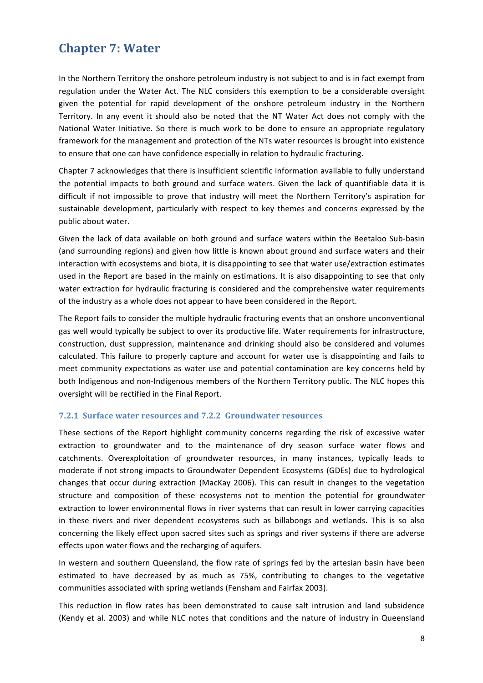# **Chapter 7: Water**

In the Northern Territory the onshore petroleum industry is not subject to and is in fact exempt from regulation under the Water Act. The NLC considers this exemption to be a considerable oversight given the potential for rapid development of the onshore petroleum industry in the Northern Territory. In any event it should also be noted that the NT Water Act does not comply with the National Water Initiative. So there is much work to be done to ensure an appropriate regulatory framework for the management and protection of the NTs water resources is brought into existence to ensure that one can have confidence especially in relation to hydraulic fracturing.

Chapter 7 acknowledges that there is insufficient scientific information available to fully understand the potential impacts to both ground and surface waters. Given the lack of quantifiable data it is difficult if not impossible to prove that industry will meet the Northern Territory's aspiration for sustainable development, particularly with respect to key themes and concerns expressed by the public about water.

Given the lack of data available on both ground and surface waters within the Beetaloo Sub-basin (and surrounding regions) and given how little is known about ground and surface waters and their interaction with ecosystems and biota, it is disappointing to see that water use/extraction estimates used in the Report are based in the mainly on estimations. It is also disappointing to see that only water extraction for hydraulic fracturing is considered and the comprehensive water requirements of the industry as a whole does not appear to have been considered in the Report.

The Report fails to consider the multiple hydraulic fracturing events that an onshore unconventional gas well would typically be subject to over its productive life. Water requirements for infrastructure, construction, dust suppression, maintenance and drinking should also be considered and volumes calculated. This failure to properly capture and account for water use is disappointing and fails to meet community expectations as water use and potential contamination are key concerns held by both Indigenous and non-Indigenous members of the Northern Territory public. The NLC hopes this oversight will be rectified in the Final Report.

#### **7.2.1 Surface water resources and 7.2.2 Groundwater resources**

These sections of the Report highlight community concerns regarding the risk of excessive water extraction to groundwater and to the maintenance of dry season surface water flows and catchments. Overexploitation of groundwater resources, in many instances, typically leads to moderate if not strong impacts to Groundwater Dependent Ecosystems (GDEs) due to hydrological changes that occur during extraction (MacKay 2006). This can result in changes to the vegetation structure and composition of these ecosystems not to mention the potential for groundwater extraction to lower environmental flows in river systems that can result in lower carrying capacities in these rivers and river dependent ecosystems such as billabongs and wetlands. This is so also concerning the likely effect upon sacred sites such as springs and river systems if there are adverse effects upon water flows and the recharging of aquifers.

In western and southern Queensland, the flow rate of springs fed by the artesian basin have been estimated to have decreased by as much as 75%, contributing to changes to the vegetative communities associated with spring wetlands (Fensham and Fairfax 2003).

This reduction in flow rates has been demonstrated to cause salt intrusion and land subsidence (Kendy et al. 2003) and while NLC notes that conditions and the nature of industry in Queensland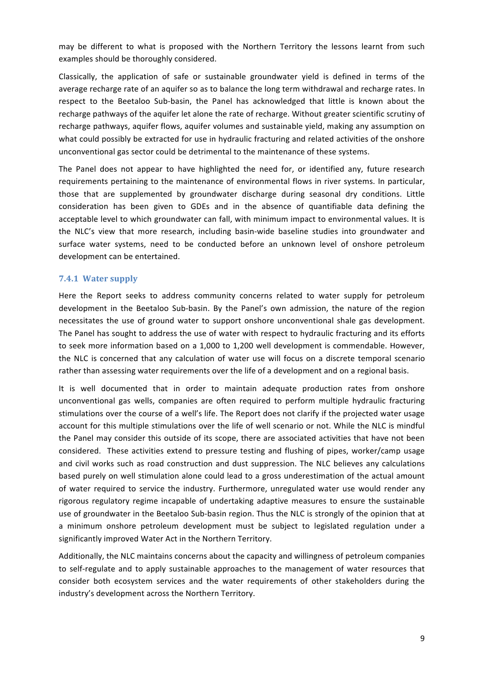may be different to what is proposed with the Northern Territory the lessons learnt from such examples should be thoroughly considered.

Classically, the application of safe or sustainable groundwater yield is defined in terms of the average recharge rate of an aquifer so as to balance the long term withdrawal and recharge rates. In respect to the Beetaloo Sub-basin, the Panel has acknowledged that little is known about the recharge pathways of the aquifer let alone the rate of recharge. Without greater scientific scrutiny of recharge pathways, aquifer flows, aquifer volumes and sustainable yield, making any assumption on what could possibly be extracted for use in hydraulic fracturing and related activities of the onshore unconventional gas sector could be detrimental to the maintenance of these systems.

The Panel does not appear to have highlighted the need for, or identified any, future research requirements pertaining to the maintenance of environmental flows in river systems. In particular, those that are supplemented by groundwater discharge during seasonal dry conditions. Little consideration has been given to GDEs and in the absence of quantifiable data defining the acceptable level to which groundwater can fall, with minimum impact to environmental values. It is the NLC's view that more research, including basin-wide baseline studies into groundwater and surface water systems, need to be conducted before an unknown level of onshore petroleum development can be entertained.

#### **7.4.1 Water supply**

Here the Report seeks to address community concerns related to water supply for petroleum development in the Beetaloo Sub-basin. By the Panel's own admission, the nature of the region necessitates the use of ground water to support onshore unconventional shale gas development. The Panel has sought to address the use of water with respect to hydraulic fracturing and its efforts to seek more information based on a 1,000 to 1,200 well development is commendable. However, the NLC is concerned that any calculation of water use will focus on a discrete temporal scenario rather than assessing water requirements over the life of a development and on a regional basis.

It is well documented that in order to maintain adequate production rates from onshore unconventional gas wells, companies are often required to perform multiple hydraulic fracturing stimulations over the course of a well's life. The Report does not clarify if the projected water usage account for this multiple stimulations over the life of well scenario or not. While the NLC is mindful the Panel may consider this outside of its scope, there are associated activities that have not been considered. These activities extend to pressure testing and flushing of pipes, worker/camp usage and civil works such as road construction and dust suppression. The NLC believes any calculations based purely on well stimulation alone could lead to a gross underestimation of the actual amount of water required to service the industry. Furthermore, unregulated water use would render any rigorous regulatory regime incapable of undertaking adaptive measures to ensure the sustainable use of groundwater in the Beetaloo Sub-basin region. Thus the NLC is strongly of the opinion that at a minimum onshore petroleum development must be subject to legislated regulation under a significantly improved Water Act in the Northern Territory.

Additionally, the NLC maintains concerns about the capacity and willingness of petroleum companies to self-regulate and to apply sustainable approaches to the management of water resources that consider both ecosystem services and the water requirements of other stakeholders during the industry's development across the Northern Territory.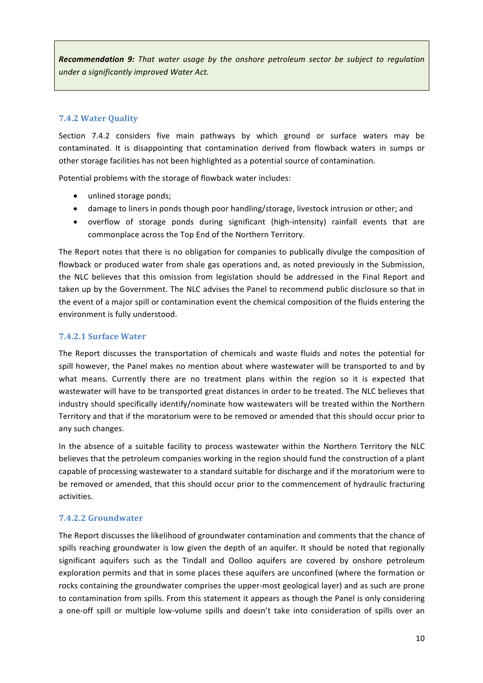**Recommendation 9:** That water usage by the onshore petroleum sector be subject to regulation *under a significantly improved Water Act.*

### **7.4.2 Water Quality**

Section 7.4.2 considers five main pathways by which ground or surface waters may be contaminated. It is disappointing that contamination derived from flowback waters in sumps or other storage facilities has not been highlighted as a potential source of contamination.

Potential problems with the storage of flowback water includes:

- unlined storage ponds;
- damage to liners in ponds though poor handling/storage, livestock intrusion or other; and
- overflow of storage ponds during significant (high-intensity) rainfall events that are commonplace across the Top End of the Northern Territory.

The Report notes that there is no obligation for companies to publically divulge the composition of flowback or produced water from shale gas operations and, as noted previously in the Submission, the NLC believes that this omission from legislation should be addressed in the Final Report and taken up by the Government. The NLC advises the Panel to recommend public disclosure so that in the event of a major spill or contamination event the chemical composition of the fluids entering the environment is fully understood.

#### **7.4.2.1 Surface Water**

The Report discusses the transportation of chemicals and waste fluids and notes the potential for spill however, the Panel makes no mention about where wastewater will be transported to and by what means. Currently there are no treatment plans within the region so it is expected that wastewater will have to be transported great distances in order to be treated. The NLC believes that industry should specifically identify/nominate how wastewaters will be treated within the Northern Territory and that if the moratorium were to be removed or amended that this should occur prior to any such changes.

In the absence of a suitable facility to process wastewater within the Northern Territory the NLC believes that the petroleum companies working in the region should fund the construction of a plant capable of processing wastewater to a standard suitable for discharge and if the moratorium were to be removed or amended, that this should occur prior to the commencement of hydraulic fracturing activities. 

### **7.4.2.2 Groundwater**

The Report discusses the likelihood of groundwater contamination and comments that the chance of spills reaching groundwater is low given the depth of an aquifer. It should be noted that regionally significant aquifers such as the Tindall and Oolloo aquifers are covered by onshore petroleum exploration permits and that in some places these aquifers are unconfined (where the formation or rocks containing the groundwater comprises the upper-most geological layer) and as such are prone to contamination from spills. From this statement it appears as though the Panel is only considering a one-off spill or multiple low-volume spills and doesn't take into consideration of spills over an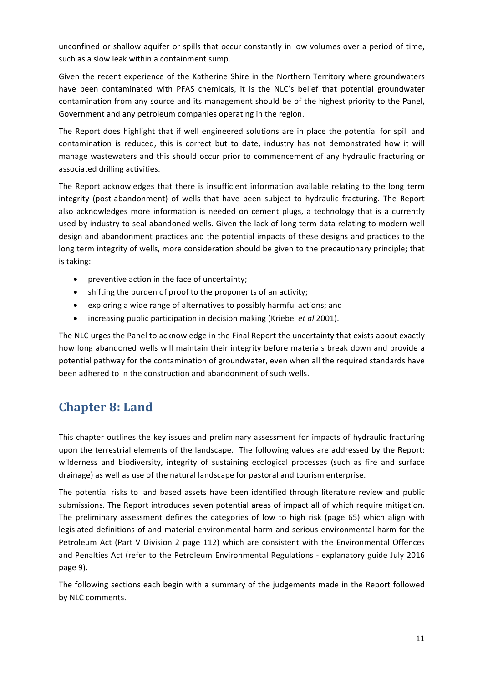unconfined or shallow aquifer or spills that occur constantly in low volumes over a period of time, such as a slow leak within a containment sump.

Given the recent experience of the Katherine Shire in the Northern Territory where groundwaters have been contaminated with PFAS chemicals, it is the NLC's belief that potential groundwater contamination from any source and its management should be of the highest priority to the Panel, Government and any petroleum companies operating in the region.

The Report does highlight that if well engineered solutions are in place the potential for spill and contamination is reduced, this is correct but to date, industry has not demonstrated how it will manage wastewaters and this should occur prior to commencement of any hydraulic fracturing or associated drilling activities.

The Report acknowledges that there is insufficient information available relating to the long term integrity (post-abandonment) of wells that have been subject to hydraulic fracturing. The Report also acknowledges more information is needed on cement plugs, a technology that is a currently used by industry to seal abandoned wells. Given the lack of long term data relating to modern well design and abandonment practices and the potential impacts of these designs and practices to the long term integrity of wells, more consideration should be given to the precautionary principle; that is taking:

- preventive action in the face of uncertainty;
- shifting the burden of proof to the proponents of an activity;
- exploring a wide range of alternatives to possibly harmful actions; and
- increasing public participation in decision making (Kriebel *et al* 2001).

The NLC urges the Panel to acknowledge in the Final Report the uncertainty that exists about exactly how long abandoned wells will maintain their integrity before materials break down and provide a potential pathway for the contamination of groundwater, even when all the required standards have been adhered to in the construction and abandonment of such wells.

# **Chapter 8: Land**

This chapter outlines the key issues and preliminary assessment for impacts of hydraulic fracturing upon the terrestrial elements of the landscape. The following values are addressed by the Report: wilderness and biodiversity, integrity of sustaining ecological processes (such as fire and surface drainage) as well as use of the natural landscape for pastoral and tourism enterprise.

The potential risks to land based assets have been identified through literature review and public submissions. The Report introduces seven potential areas of impact all of which require mitigation. The preliminary assessment defines the categories of low to high risk (page 65) which align with legislated definitions of and material environmental harm and serious environmental harm for the Petroleum Act (Part V Division 2 page 112) which are consistent with the Environmental Offences and Penalties Act (refer to the Petroleum Environmental Regulations - explanatory guide July 2016 page 9).

The following sections each begin with a summary of the judgements made in the Report followed by NLC comments.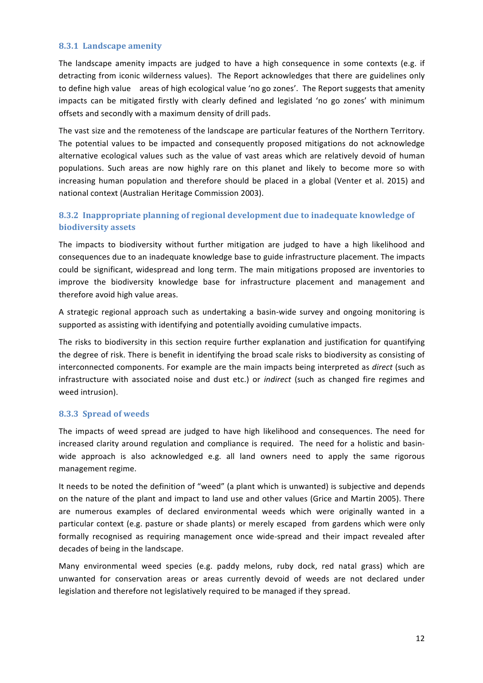#### **8.3.1 Landscape amenity**

The landscape amenity impacts are judged to have a high consequence in some contexts (e.g. if detracting from iconic wilderness values). The Report acknowledges that there are guidelines only to define high value areas of high ecological value 'no go zones'. The Report suggests that amenity impacts can be mitigated firstly with clearly defined and legislated 'no go zones' with minimum offsets and secondly with a maximum density of drill pads.

The vast size and the remoteness of the landscape are particular features of the Northern Territory. The potential values to be impacted and consequently proposed mitigations do not acknowledge alternative ecological values such as the value of vast areas which are relatively devoid of human populations. Such areas are now highly rare on this planet and likely to become more so with increasing human population and therefore should be placed in a global (Venter et al. 2015) and national context (Australian Heritage Commission 2003).

### **8.3.2** Inappropriate planning of regional development due to inadequate knowledge of **biodiversity assets**

The impacts to biodiversity without further mitigation are judged to have a high likelihood and consequences due to an inadequate knowledge base to guide infrastructure placement. The impacts could be significant, widespread and long term. The main mitigations proposed are inventories to improve the biodiversity knowledge base for infrastructure placement and management and therefore avoid high value areas.

A strategic regional approach such as undertaking a basin-wide survey and ongoing monitoring is supported as assisting with identifying and potentially avoiding cumulative impacts.

The risks to biodiversity in this section require further explanation and justification for quantifying the degree of risk. There is benefit in identifying the broad scale risks to biodiversity as consisting of interconnected components. For example are the main impacts being interpreted as *direct* (such as infrastructure with associated noise and dust etc.) or *indirect* (such as changed fire regimes and weed intrusion).

### **8.3.3 Spread of weeds**

The impacts of weed spread are judged to have high likelihood and consequences. The need for increased clarity around regulation and compliance is required. The need for a holistic and basinwide approach is also acknowledged e.g. all land owners need to apply the same rigorous management regime.

It needs to be noted the definition of "weed" (a plant which is unwanted) is subjective and depends on the nature of the plant and impact to land use and other values (Grice and Martin 2005). There are numerous examples of declared environmental weeds which were originally wanted in a particular context (e.g. pasture or shade plants) or merely escaped from gardens which were only formally recognised as requiring management once wide-spread and their impact revealed after decades of being in the landscape.

Many environmental weed species (e.g. paddy melons, ruby dock, red natal grass) which are unwanted for conservation areas or areas currently devoid of weeds are not declared under legislation and therefore not legislatively required to be managed if they spread.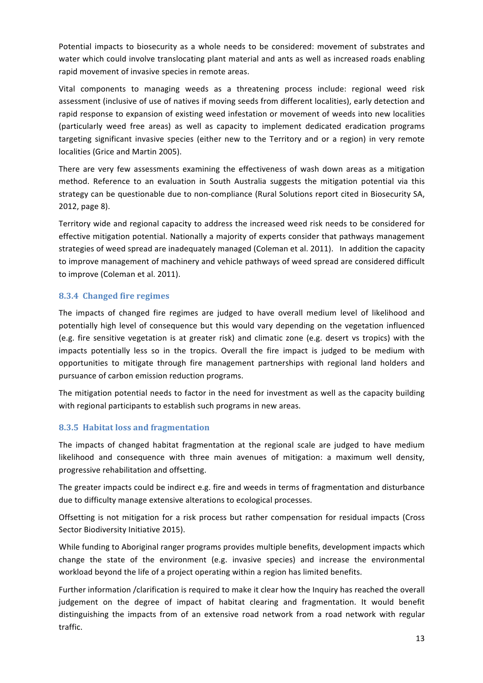Potential impacts to biosecurity as a whole needs to be considered: movement of substrates and water which could involve translocating plant material and ants as well as increased roads enabling rapid movement of invasive species in remote areas.

Vital components to managing weeds as a threatening process include: regional weed risk assessment (inclusive of use of natives if moving seeds from different localities), early detection and rapid response to expansion of existing weed infestation or movement of weeds into new localities (particularly weed free areas) as well as capacity to implement dedicated eradication programs targeting significant invasive species (either new to the Territory and or a region) in very remote localities (Grice and Martin 2005).

There are very few assessments examining the effectiveness of wash down areas as a mitigation method. Reference to an evaluation in South Australia suggests the mitigation potential via this strategy can be questionable due to non-compliance (Rural Solutions report cited in Biosecurity SA, 2012, page 8).

Territory wide and regional capacity to address the increased weed risk needs to be considered for effective mitigation potential. Nationally a majority of experts consider that pathways management strategies of weed spread are inadequately managed (Coleman et al. 2011). In addition the capacity to improve management of machinery and vehicle pathways of weed spread are considered difficult to improve (Coleman et al. 2011).

### **8.3.4 Changed** fire regimes

The impacts of changed fire regimes are judged to have overall medium level of likelihood and potentially high level of consequence but this would vary depending on the vegetation influenced (e.g. fire sensitive vegetation is at greater risk) and climatic zone (e.g. desert vs tropics) with the impacts potentially less so in the tropics. Overall the fire impact is judged to be medium with opportunities to mitigate through fire management partnerships with regional land holders and pursuance of carbon emission reduction programs.

The mitigation potential needs to factor in the need for investment as well as the capacity building with regional participants to establish such programs in new areas.

## **8.3.5 Habitat loss and fragmentation**

The impacts of changed habitat fragmentation at the regional scale are judged to have medium likelihood and consequence with three main avenues of mitigation: a maximum well density, progressive rehabilitation and offsetting.

The greater impacts could be indirect e.g. fire and weeds in terms of fragmentation and disturbance due to difficulty manage extensive alterations to ecological processes.

Offsetting is not mitigation for a risk process but rather compensation for residual impacts (Cross Sector Biodiversity Initiative 2015).

While funding to Aboriginal ranger programs provides multiple benefits, development impacts which change the state of the environment (e.g. invasive species) and increase the environmental workload beyond the life of a project operating within a region has limited benefits.

Further information /clarification is required to make it clear how the Inquiry has reached the overall judgement on the degree of impact of habitat clearing and fragmentation. It would benefit distinguishing the impacts from of an extensive road network from a road network with regular traffic.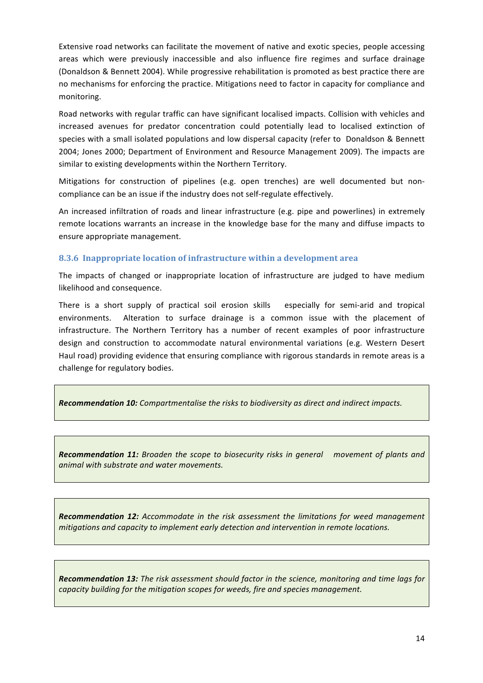Extensive road networks can facilitate the movement of native and exotic species, people accessing areas which were previously inaccessible and also influence fire regimes and surface drainage (Donaldson & Bennett 2004). While progressive rehabilitation is promoted as best practice there are no mechanisms for enforcing the practice. Mitigations need to factor in capacity for compliance and monitoring.

Road networks with regular traffic can have significant localised impacts. Collision with vehicles and increased avenues for predator concentration could potentially lead to localised extinction of species with a small isolated populations and low dispersal capacity (refer to Donaldson & Bennett 2004; Jones 2000; Department of Environment and Resource Management 2009). The impacts are similar to existing developments within the Northern Territory.

Mitigations for construction of pipelines (e.g. open trenches) are well documented but noncompliance can be an issue if the industry does not self-regulate effectively.

An increased infiltration of roads and linear infrastructure (e.g. pipe and powerlines) in extremely remote locations warrants an increase in the knowledge base for the many and diffuse impacts to ensure appropriate management.

### **8.3.6 Inappropriate location of infrastructure within a development area**

The impacts of changed or inappropriate location of infrastructure are judged to have medium likelihood and consequence.

There is a short supply of practical soil erosion skills especially for semi-arid and tropical environments. Alteration to surface drainage is a common issue with the placement of infrastructure. The Northern Territory has a number of recent examples of poor infrastructure design and construction to accommodate natural environmental variations (e.g. Western Desert Haul road) providing evidence that ensuring compliance with rigorous standards in remote areas is a challenge for regulatory bodies.

**Recommendation 10:** Compartmentalise the risks to biodiversity as direct and indirect impacts.

**Recommendation 11:** Broaden the scope to biosecurity risks in general movement of plants and *animal with substrate and water movements.*

**Recommendation 12:** Accommodate in the risk assessment the limitations for weed management *mitigations and capacity to implement early detection and intervention in remote locations.* 

**Recommendation 13:** The risk assessment should factor in the science, monitoring and time lags for capacity building for the mitigation scopes for weeds, fire and species management.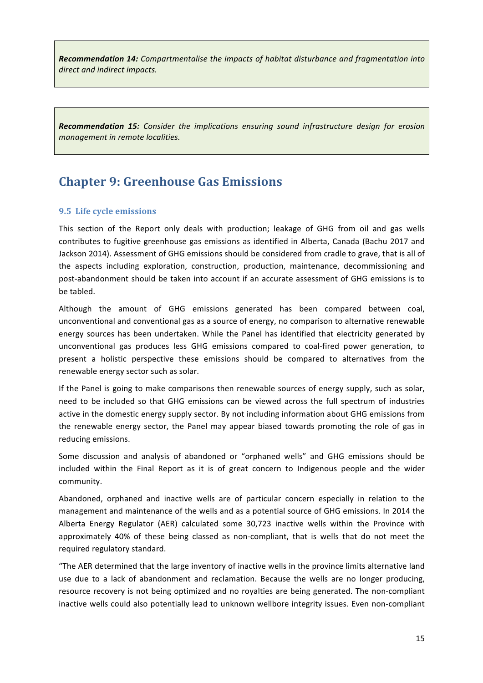**Recommendation 14:** Compartmentalise the impacts of habitat disturbance and fragmentation into *direct and indirect impacts.*

**Recommendation 15:** Consider the implications ensuring sound infrastructure design for erosion *management in remote localities.* 

# **Chapter 9: Greenhouse Gas Emissions**

#### **9.5** Life cycle emissions

This section of the Report only deals with production; leakage of GHG from oil and gas wells contributes to fugitive greenhouse gas emissions as identified in Alberta, Canada (Bachu 2017 and Jackson 2014). Assessment of GHG emissions should be considered from cradle to grave, that is all of the aspects including exploration, construction, production, maintenance, decommissioning and post-abandonment should be taken into account if an accurate assessment of GHG emissions is to be tabled.

Although the amount of GHG emissions generated has been compared between coal, unconventional and conventional gas as a source of energy, no comparison to alternative renewable energy sources has been undertaken. While the Panel has identified that electricity generated by unconventional gas produces less GHG emissions compared to coal-fired power generation, to present a holistic perspective these emissions should be compared to alternatives from the renewable energy sector such as solar.

If the Panel is going to make comparisons then renewable sources of energy supply, such as solar, need to be included so that GHG emissions can be viewed across the full spectrum of industries active in the domestic energy supply sector. By not including information about GHG emissions from the renewable energy sector, the Panel may appear biased towards promoting the role of gas in reducing emissions. 

Some discussion and analysis of abandoned or "orphaned wells" and GHG emissions should be included within the Final Report as it is of great concern to Indigenous people and the wider community.

Abandoned, orphaned and inactive wells are of particular concern especially in relation to the management and maintenance of the wells and as a potential source of GHG emissions. In 2014 the Alberta Energy Regulator (AER) calculated some 30,723 inactive wells within the Province with approximately 40% of these being classed as non-compliant, that is wells that do not meet the required regulatory standard.

"The AER determined that the large inventory of inactive wells in the province limits alternative land use due to a lack of abandonment and reclamation. Because the wells are no longer producing, resource recovery is not being optimized and no royalties are being generated. The non-compliant inactive wells could also potentially lead to unknown wellbore integrity issues. Even non-compliant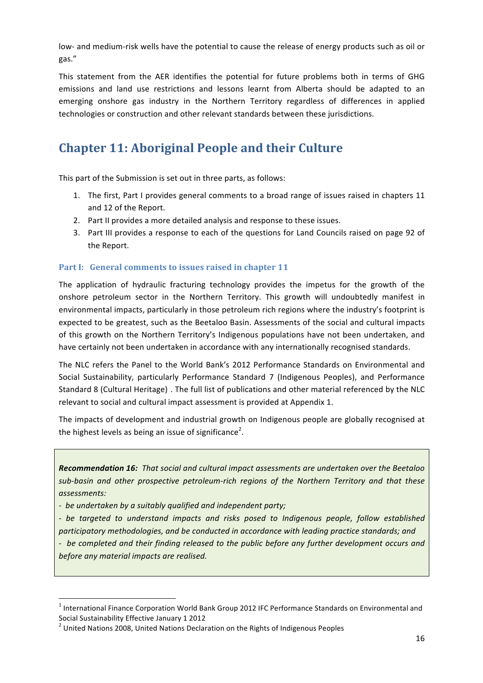low- and medium-risk wells have the potential to cause the release of energy products such as oil or gas."

This statement from the AER identifies the potential for future problems both in terms of GHG emissions and land use restrictions and lessons learnt from Alberta should be adapted to an emerging onshore gas industry in the Northern Territory regardless of differences in applied technologies or construction and other relevant standards between these jurisdictions.

# **Chapter 11: Aboriginal People and their Culture**

This part of the Submission is set out in three parts, as follows:

- 1. The first, Part I provides general comments to a broad range of issues raised in chapters 11 and 12 of the Report.
- 2. Part II provides a more detailed analysis and response to these issues.
- 3. Part III provides a response to each of the questions for Land Councils raised on page 92 of the Report.

#### Part I: General comments to issues raised in chapter 11

The application of hydraulic fracturing technology provides the impetus for the growth of the onshore petroleum sector in the Northern Territory. This growth will undoubtedly manifest in environmental impacts, particularly in those petroleum rich regions where the industry's footprint is expected to be greatest, such as the Beetaloo Basin. Assessments of the social and cultural impacts of this growth on the Northern Territory's Indigenous populations have not been undertaken, and have certainly not been undertaken in accordance with any internationally recognised standards.

The NLC refers the Panel to the World Bank's 2012 Performance Standards on Environmental and Social Sustainability, particularly Performance Standard 7 (Indigenous Peoples), and Performance Standard 8 (Cultural Heritage) . The full list of publications and other material referenced by the NLC relevant to social and cultural impact assessment is provided at Appendix 1.

The impacts of development and industrial growth on Indigenous people are globally recognised at the highest levels as being an issue of significance<sup>2</sup>.

**Recommendation 16:** That social and cultural impact assessments are undertaken over the Beetaloo *sub-basin and other prospective petroleum-rich regions of the Northern Territory and that these assessments:*

- *be undertaken by a suitably qualified and independent party;* 

<u> 1989 - Johann Barn, mars ann an t-Amhain an t-Amhain an t-Amhain an t-Amhain an t-Amhain an t-Amhain an t-Amh</u>

- be targeted to understand impacts and risks posed to Indigenous people, follow established participatory methodologies, and be conducted in accordance with leading practice standards; and

- be completed and their finding released to the public before any further development occurs and before any material impacts are realised.

 $<sup>1</sup>$  International Finance Corporation World Bank Group 2012 IFC Performance Standards on Environmental and</sup> Social Sustainability Effective January 1 2012

 $2$  United Nations 2008, United Nations Declaration on the Rights of Indigenous Peoples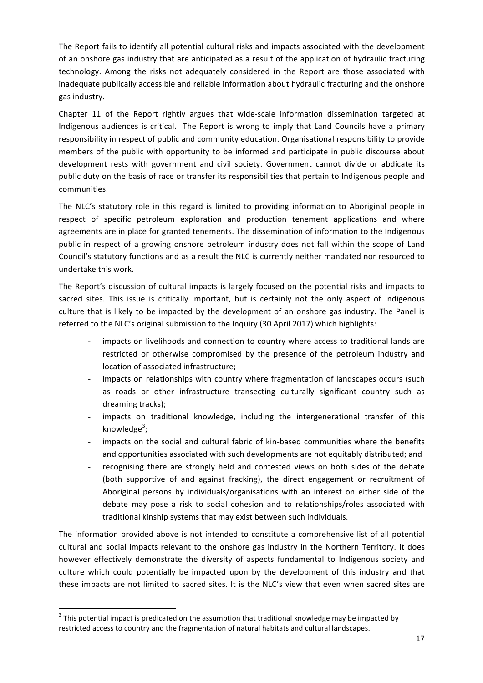The Report fails to identify all potential cultural risks and impacts associated with the development of an onshore gas industry that are anticipated as a result of the application of hydraulic fracturing technology. Among the risks not adequately considered in the Report are those associated with inadequate publically accessible and reliable information about hydraulic fracturing and the onshore gas industry.

Chapter 11 of the Report rightly argues that wide-scale information dissemination targeted at Indigenous audiences is critical. The Report is wrong to imply that Land Councils have a primary responsibility in respect of public and community education. Organisational responsibility to provide members of the public with opportunity to be informed and participate in public discourse about development rests with government and civil society. Government cannot divide or abdicate its public duty on the basis of race or transfer its responsibilities that pertain to Indigenous people and communities.

The NLC's statutory role in this regard is limited to providing information to Aboriginal people in respect of specific petroleum exploration and production tenement applications and where agreements are in place for granted tenements. The dissemination of information to the Indigenous public in respect of a growing onshore petroleum industry does not fall within the scope of Land Council's statutory functions and as a result the NLC is currently neither mandated nor resourced to undertake this work.

The Report's discussion of cultural impacts is largely focused on the potential risks and impacts to sacred sites. This issue is critically important, but is certainly not the only aspect of Indigenous culture that is likely to be impacted by the development of an onshore gas industry. The Panel is referred to the NLC's original submission to the Inquiry (30 April 2017) which highlights:

- impacts on livelihoods and connection to country where access to traditional lands are restricted or otherwise compromised by the presence of the petroleum industry and location of associated infrastructure:
- impacts on relationships with country where fragmentation of landscapes occurs (such as roads or other infrastructure transecting culturally significant country such as dreaming tracks);
- impacts on traditional knowledge, including the intergenerational transfer of this knowledge<sup>3</sup>;
- impacts on the social and cultural fabric of kin-based communities where the benefits and opportunities associated with such developments are not equitably distributed; and
- recognising there are strongly held and contested views on both sides of the debate (both supportive of and against fracking), the direct engagement or recruitment of Aboriginal persons by individuals/organisations with an interest on either side of the debate may pose a risk to social cohesion and to relationships/roles associated with traditional kinship systems that may exist between such individuals.

The information provided above is not intended to constitute a comprehensive list of all potential cultural and social impacts relevant to the onshore gas industry in the Northern Territory. It does however effectively demonstrate the diversity of aspects fundamental to Indigenous society and culture which could potentially be impacted upon by the development of this industry and that these impacts are not limited to sacred sites. It is the NLC's view that even when sacred sites are

 

 $3$  This potential impact is predicated on the assumption that traditional knowledge may be impacted by restricted access to country and the fragmentation of natural habitats and cultural landscapes.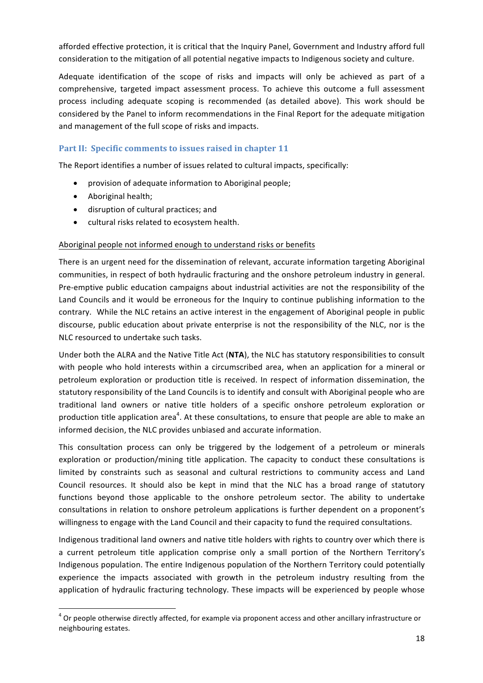afforded effective protection, it is critical that the Inquiry Panel, Government and Industry afford full consideration to the mitigation of all potential negative impacts to Indigenous society and culture.

Adequate identification of the scope of risks and impacts will only be achieved as part of a comprehensive, targeted impact assessment process. To achieve this outcome a full assessment process including adequate scoping is recommended (as detailed above). This work should be considered by the Panel to inform recommendations in the Final Report for the adequate mitigation and management of the full scope of risks and impacts.

### Part II: Specific comments to issues raised in chapter 11

The Report identifies a number of issues related to cultural impacts, specifically:

- provision of adequate information to Aboriginal people;
- Aboriginal health;

 

- disruption of cultural practices; and
- cultural risks related to ecosystem health.

#### Aboriginal people not informed enough to understand risks or benefits

There is an urgent need for the dissemination of relevant, accurate information targeting Aboriginal communities, in respect of both hydraulic fracturing and the onshore petroleum industry in general. Pre-emptive public education campaigns about industrial activities are not the responsibility of the Land Councils and it would be erroneous for the Inquiry to continue publishing information to the contrary. While the NLC retains an active interest in the engagement of Aboriginal people in public discourse, public education about private enterprise is not the responsibility of the NLC, nor is the NLC resourced to undertake such tasks.

Under both the ALRA and the Native Title Act (NTA), the NLC has statutory responsibilities to consult with people who hold interests within a circumscribed area, when an application for a mineral or petroleum exploration or production title is received. In respect of information dissemination, the statutory responsibility of the Land Councils is to identify and consult with Aboriginal people who are traditional land owners or native title holders of a specific onshore petroleum exploration or production title application area<sup>4</sup>. At these consultations, to ensure that people are able to make an informed decision, the NLC provides unbiased and accurate information.

This consultation process can only be triggered by the lodgement of a petroleum or minerals exploration or production/mining title application. The capacity to conduct these consultations is limited by constraints such as seasonal and cultural restrictions to community access and Land Council resources. It should also be kept in mind that the NLC has a broad range of statutory functions beyond those applicable to the onshore petroleum sector. The ability to undertake consultations in relation to onshore petroleum applications is further dependent on a proponent's willingness to engage with the Land Council and their capacity to fund the required consultations.

Indigenous traditional land owners and native title holders with rights to country over which there is a current petroleum title application comprise only a small portion of the Northern Territory's Indigenous population. The entire Indigenous population of the Northern Territory could potentially experience the impacts associated with growth in the petroleum industry resulting from the application of hydraulic fracturing technology. These impacts will be experienced by people whose

 $4$  Or people otherwise directly affected, for example via proponent access and other ancillary infrastructure or neighbouring estates.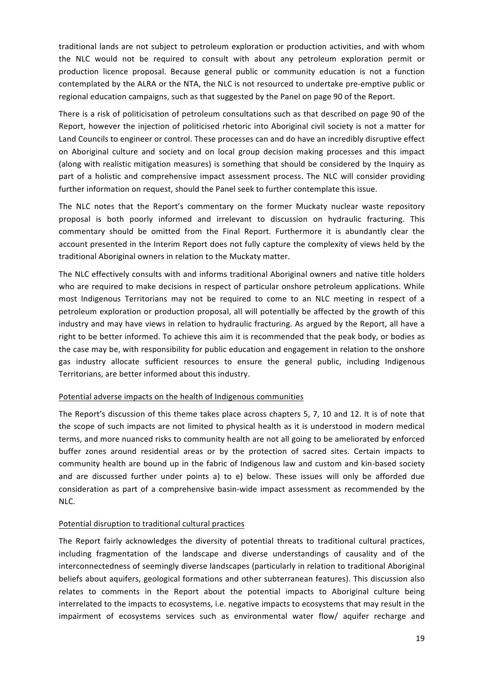traditional lands are not subject to petroleum exploration or production activities, and with whom the NLC would not be required to consult with about any petroleum exploration permit or production licence proposal. Because general public or community education is not a function contemplated by the ALRA or the NTA, the NLC is not resourced to undertake pre-emptive public or regional education campaigns, such as that suggested by the Panel on page 90 of the Report.

There is a risk of politicisation of petroleum consultations such as that described on page 90 of the Report, however the injection of politicised rhetoric into Aboriginal civil society is not a matter for Land Councils to engineer or control. These processes can and do have an incredibly disruptive effect on Aboriginal culture and society and on local group decision making processes and this impact (along with realistic mitigation measures) is something that should be considered by the Inquiry as part of a holistic and comprehensive impact assessment process. The NLC will consider providing further information on request, should the Panel seek to further contemplate this issue.

The NLC notes that the Report's commentary on the former Muckaty nuclear waste repository proposal is both poorly informed and irrelevant to discussion on hydraulic fracturing. This commentary should be omitted from the Final Report. Furthermore it is abundantly clear the account presented in the Interim Report does not fully capture the complexity of views held by the traditional Aboriginal owners in relation to the Muckaty matter.

The NLC effectively consults with and informs traditional Aboriginal owners and native title holders who are required to make decisions in respect of particular onshore petroleum applications. While most Indigenous Territorians may not be required to come to an NLC meeting in respect of a petroleum exploration or production proposal, all will potentially be affected by the growth of this industry and may have views in relation to hydraulic fracturing. As argued by the Report, all have a right to be better informed. To achieve this aim it is recommended that the peak body, or bodies as the case may be, with responsibility for public education and engagement in relation to the onshore gas industry allocate sufficient resources to ensure the general public, including Indigenous Territorians, are better informed about this industry.

#### Potential adverse impacts on the health of Indigenous communities

The Report's discussion of this theme takes place across chapters 5, 7, 10 and 12. It is of note that the scope of such impacts are not limited to physical health as it is understood in modern medical terms, and more nuanced risks to community health are not all going to be ameliorated by enforced buffer zones around residential areas or by the protection of sacred sites. Certain impacts to community health are bound up in the fabric of Indigenous law and custom and kin-based society and are discussed further under points a) to e) below. These issues will only be afforded due consideration as part of a comprehensive basin-wide impact assessment as recommended by the NLC.

#### Potential disruption to traditional cultural practices

The Report fairly acknowledges the diversity of potential threats to traditional cultural practices, including fragmentation of the landscape and diverse understandings of causality and of the interconnectedness of seemingly diverse landscapes (particularly in relation to traditional Aboriginal beliefs about aquifers, geological formations and other subterranean features). This discussion also relates to comments in the Report about the potential impacts to Aboriginal culture being interrelated to the impacts to ecosystems, i.e. negative impacts to ecosystems that may result in the impairment of ecosystems services such as environmental water flow/ aquifer recharge and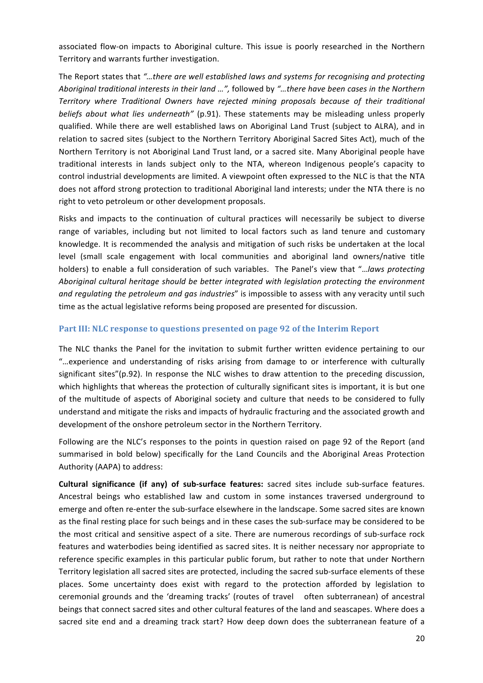associated flow-on impacts to Aboriginal culture. This issue is poorly researched in the Northern Territory and warrants further investigation.

The Report states that "...there are well established laws and systems for recognising and protecting *Aboriginal traditional interests in their land ..."*, followed by "...there have been cases in the Northern *Territory where Traditional Owners have rejected mining proposals because of their traditional beliefs about what lies underneath"* (p.91). These statements may be misleading unless properly qualified. While there are well established laws on Aboriginal Land Trust (subject to ALRA), and in relation to sacred sites (subject to the Northern Territory Aboriginal Sacred Sites Act), much of the Northern Territory is not Aboriginal Land Trust land, or a sacred site. Many Aboriginal people have traditional interests in lands subject only to the NTA, whereon Indigenous people's capacity to control industrial developments are limited. A viewpoint often expressed to the NLC is that the NTA does not afford strong protection to traditional Aboriginal land interests; under the NTA there is no right to veto petroleum or other development proposals.

Risks and impacts to the continuation of cultural practices will necessarily be subject to diverse range of variables, including but not limited to local factors such as land tenure and customary knowledge. It is recommended the analysis and mitigation of such risks be undertaken at the local level (small scale engagement with local communities and aboriginal land owners/native title holders) to enable a full consideration of such variables. The Panel's view that "...laws protecting Aboriginal cultural heritage should be better integrated with legislation protecting the environment and regulating the petroleum and gas industries" is impossible to assess with any veracity until such time as the actual legislative reforms being proposed are presented for discussion.

#### Part III: NLC response to questions presented on page 92 of the Interim Report

The NLC thanks the Panel for the invitation to submit further written evidence pertaining to our "...experience and understanding of risks arising from damage to or interference with culturally significant sites"(p.92). In response the NLC wishes to draw attention to the preceding discussion, which highlights that whereas the protection of culturally significant sites is important, it is but one of the multitude of aspects of Aboriginal society and culture that needs to be considered to fully understand and mitigate the risks and impacts of hydraulic fracturing and the associated growth and development of the onshore petroleum sector in the Northern Territory.

Following are the NLC's responses to the points in question raised on page 92 of the Report (and summarised in bold below) specifically for the Land Councils and the Aboriginal Areas Protection Authority (AAPA) to address:

**Cultural significance (if any) of sub-surface features:** sacred sites include sub-surface features. Ancestral beings who established law and custom in some instances traversed underground to emerge and often re-enter the sub-surface elsewhere in the landscape. Some sacred sites are known as the final resting place for such beings and in these cases the sub-surface may be considered to be the most critical and sensitive aspect of a site. There are numerous recordings of sub-surface rock features and waterbodies being identified as sacred sites. It is neither necessary nor appropriate to reference specific examples in this particular public forum, but rather to note that under Northern Territory legislation all sacred sites are protected, including the sacred sub-surface elements of these places. Some uncertainty does exist with regard to the protection afforded by legislation to ceremonial grounds and the 'dreaming tracks' (routes of travel often subterranean) of ancestral beings that connect sacred sites and other cultural features of the land and seascapes. Where does a sacred site end and a dreaming track start? How deep down does the subterranean feature of a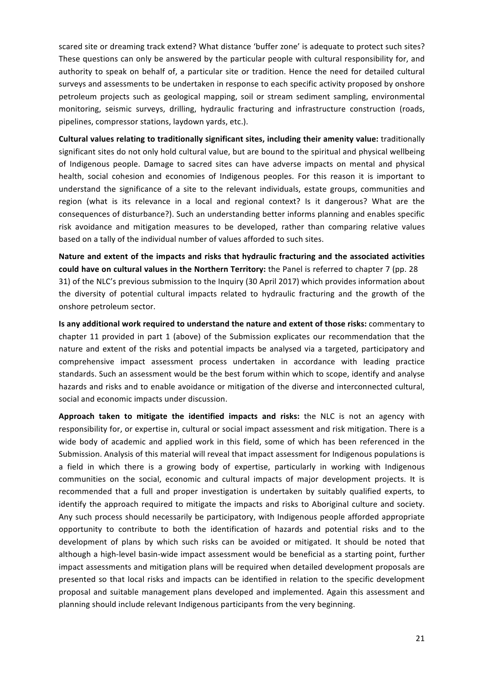scared site or dreaming track extend? What distance 'buffer zone' is adequate to protect such sites? These questions can only be answered by the particular people with cultural responsibility for, and authority to speak on behalf of, a particular site or tradition. Hence the need for detailed cultural surveys and assessments to be undertaken in response to each specific activity proposed by onshore petroleum projects such as geological mapping, soil or stream sediment sampling, environmental monitoring, seismic surveys, drilling, hydraulic fracturing and infrastructure construction (roads, pipelines, compressor stations, laydown yards, etc.).

**Cultural values relating to traditionally significant sites, including their amenity value:** traditionally significant sites do not only hold cultural value, but are bound to the spiritual and physical wellbeing of Indigenous people. Damage to sacred sites can have adverse impacts on mental and physical health, social cohesion and economies of Indigenous peoples. For this reason it is important to understand the significance of a site to the relevant individuals, estate groups, communities and region (what is its relevance in a local and regional context? Is it dangerous? What are the consequences of disturbance?). Such an understanding better informs planning and enables specific risk avoidance and mitigation measures to be developed, rather than comparing relative values based on a tally of the individual number of values afforded to such sites.

Nature and extent of the impacts and risks that hydraulic fracturing and the associated activities **could have on cultural values in the Northern Territory:** the Panel is referred to chapter 7 (pp. 28 31) of the NLC's previous submission to the Inquiry (30 April 2017) which provides information about the diversity of potential cultural impacts related to hydraulic fracturing and the growth of the onshore petroleum sector.

**Is any additional work required to understand the nature and extent of those risks: commentary to** chapter 11 provided in part 1 (above) of the Submission explicates our recommendation that the nature and extent of the risks and potential impacts be analysed via a targeted, participatory and comprehensive impact assessment process undertaken in accordance with leading practice standards. Such an assessment would be the best forum within which to scope, identify and analyse hazards and risks and to enable avoidance or mitigation of the diverse and interconnected cultural. social and economic impacts under discussion.

**Approach taken to mitigate the identified impacts and risks:** the NLC is not an agency with responsibility for, or expertise in, cultural or social impact assessment and risk mitigation. There is a wide body of academic and applied work in this field, some of which has been referenced in the Submission. Analysis of this material will reveal that impact assessment for Indigenous populations is a field in which there is a growing body of expertise, particularly in working with Indigenous communities on the social, economic and cultural impacts of major development projects. It is recommended that a full and proper investigation is undertaken by suitably qualified experts, to identify the approach required to mitigate the impacts and risks to Aboriginal culture and society. Any such process should necessarily be participatory, with Indigenous people afforded appropriate opportunity to contribute to both the identification of hazards and potential risks and to the development of plans by which such risks can be avoided or mitigated. It should be noted that although a high-level basin-wide impact assessment would be beneficial as a starting point, further impact assessments and mitigation plans will be required when detailed development proposals are presented so that local risks and impacts can be identified in relation to the specific development proposal and suitable management plans developed and implemented. Again this assessment and planning should include relevant Indigenous participants from the very beginning.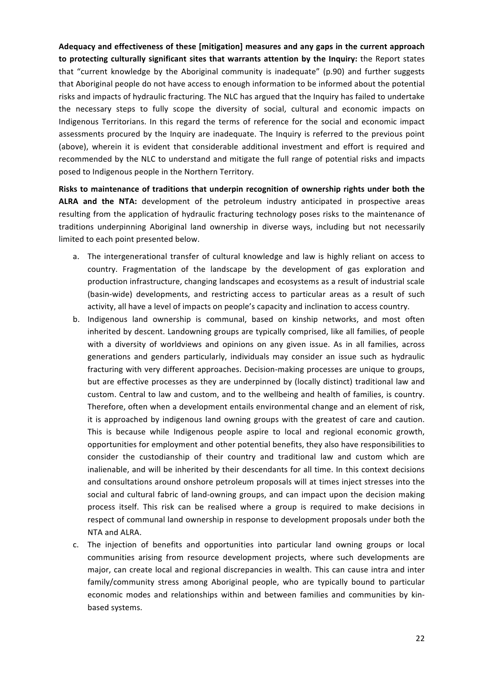Adequacy and effectiveness of these [mitigation] measures and any gaps in the current approach **to protecting culturally significant sites that warrants attention by the Inquiry:** the Report states that "current knowledge by the Aboriginal community is inadequate" (p.90) and further suggests that Aboriginal people do not have access to enough information to be informed about the potential risks and impacts of hydraulic fracturing. The NLC has argued that the Inquiry has failed to undertake the necessary steps to fully scope the diversity of social, cultural and economic impacts on Indigenous Territorians. In this regard the terms of reference for the social and economic impact assessments procured by the Inquiry are inadequate. The Inquiry is referred to the previous point (above), wherein it is evident that considerable additional investment and effort is required and recommended by the NLC to understand and mitigate the full range of potential risks and impacts posed to Indigenous people in the Northern Territory.

Risks to maintenance of traditions that underpin recognition of ownership rights under both the **ALRA** and the NTA: development of the petroleum industry anticipated in prospective areas resulting from the application of hydraulic fracturing technology poses risks to the maintenance of traditions underpinning Aboriginal land ownership in diverse ways, including but not necessarily limited to each point presented below.

- a. The intergenerational transfer of cultural knowledge and law is highly reliant on access to country. Fragmentation of the landscape by the development of gas exploration and production infrastructure, changing landscapes and ecosystems as a result of industrial scale (basin-wide) developments, and restricting access to particular areas as a result of such activity, all have a level of impacts on people's capacity and inclination to access country.
- b. Indigenous land ownership is communal, based on kinship networks, and most often inherited by descent. Landowning groups are typically comprised, like all families, of people with a diversity of worldviews and opinions on any given issue. As in all families, across generations and genders particularly, individuals may consider an issue such as hydraulic fracturing with very different approaches. Decision-making processes are unique to groups, but are effective processes as they are underpinned by (locally distinct) traditional law and custom. Central to law and custom, and to the wellbeing and health of families, is country. Therefore, often when a development entails environmental change and an element of risk, it is approached by indigenous land owning groups with the greatest of care and caution. This is because while Indigenous people aspire to local and regional economic growth, opportunities for employment and other potential benefits, they also have responsibilities to consider the custodianship of their country and traditional law and custom which are inalienable, and will be inherited by their descendants for all time. In this context decisions and consultations around onshore petroleum proposals will at times inject stresses into the social and cultural fabric of land-owning groups, and can impact upon the decision making process itself. This risk can be realised where a group is required to make decisions in respect of communal land ownership in response to development proposals under both the NTA and ALRA.
- c. The injection of benefits and opportunities into particular land owning groups or local communities arising from resource development projects, where such developments are major, can create local and regional discrepancies in wealth. This can cause intra and inter family/community stress among Aboriginal people, who are typically bound to particular economic modes and relationships within and between families and communities by kinbased systems.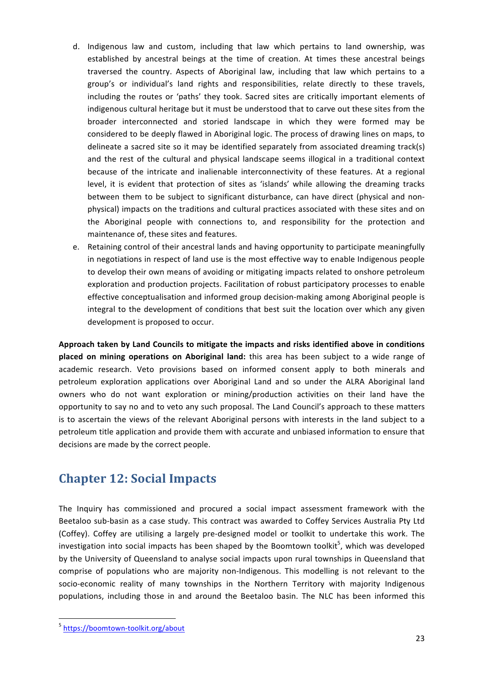- d. Indigenous law and custom, including that law which pertains to land ownership, was established by ancestral beings at the time of creation. At times these ancestral beings traversed the country. Aspects of Aboriginal law, including that law which pertains to a group's or individual's land rights and responsibilities, relate directly to these travels, including the routes or 'paths' they took. Sacred sites are critically important elements of indigenous cultural heritage but it must be understood that to carve out these sites from the broader interconnected and storied landscape in which they were formed may be considered to be deeply flawed in Aboriginal logic. The process of drawing lines on maps, to delineate a sacred site so it may be identified separately from associated dreaming track(s) and the rest of the cultural and physical landscape seems illogical in a traditional context because of the intricate and inalienable interconnectivity of these features. At a regional level, it is evident that protection of sites as 'islands' while allowing the dreaming tracks between them to be subject to significant disturbance, can have direct (physical and nonphysical) impacts on the traditions and cultural practices associated with these sites and on the Aboriginal people with connections to, and responsibility for the protection and maintenance of, these sites and features.
- e. Retaining control of their ancestral lands and having opportunity to participate meaningfully in negotiations in respect of land use is the most effective way to enable Indigenous people to develop their own means of avoiding or mitigating impacts related to onshore petroleum exploration and production projects. Facilitation of robust participatory processes to enable effective conceptualisation and informed group decision-making among Aboriginal people is integral to the development of conditions that best suit the location over which any given development is proposed to occur.

Approach taken by Land Councils to mitigate the impacts and risks identified above in conditions **placed on mining operations on Aboriginal land:** this area has been subject to a wide range of academic research. Veto provisions based on informed consent apply to both minerals and petroleum exploration applications over Aboriginal Land and so under the ALRA Aboriginal land owners who do not want exploration or mining/production activities on their land have the opportunity to say no and to veto any such proposal. The Land Council's approach to these matters is to ascertain the views of the relevant Aboriginal persons with interests in the land subject to a petroleum title application and provide them with accurate and unbiased information to ensure that decisions are made by the correct people.

# **Chapter 12: Social Impacts**

The Inquiry has commissioned and procured a social impact assessment framework with the Beetaloo sub-basin as a case study. This contract was awarded to Coffey Services Australia Pty Ltd (Coffey). Coffey are utilising a largely pre-designed model or toolkit to undertake this work. The investigation into social impacts has been shaped by the Boomtown toolkit $^5$ , which was developed by the University of Queensland to analyse social impacts upon rural townships in Queensland that comprise of populations who are majority non-Indigenous. This modelling is not relevant to the socio-economic reality of many townships in the Northern Territory with majority Indigenous populations, including those in and around the Beetaloo basin. The NLC has been informed this

 <sup>5</sup> https://boomtown-toolkit.org/about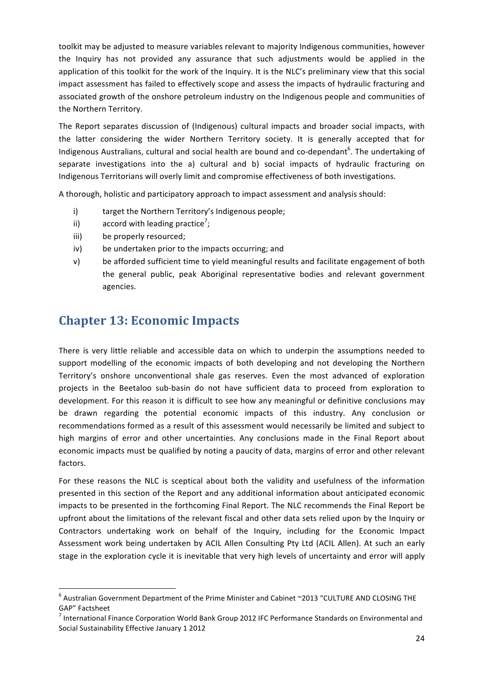toolkit may be adjusted to measure variables relevant to majority Indigenous communities, however the Inquiry has not provided any assurance that such adjustments would be applied in the application of this toolkit for the work of the Inquiry. It is the NLC's preliminary view that this social impact assessment has failed to effectively scope and assess the impacts of hydraulic fracturing and associated growth of the onshore petroleum industry on the Indigenous people and communities of the Northern Territory.

The Report separates discussion of (Indigenous) cultural impacts and broader social impacts, with the latter considering the wider Northern Territory society. It is generally accepted that for Indigenous Australians, cultural and social health are bound and co-dependant $^6$ . The undertaking of separate investigations into the a) cultural and b) social impacts of hydraulic fracturing on Indigenous Territorians will overly limit and compromise effectiveness of both investigations.

A thorough, holistic and participatory approach to impact assessment and analysis should:

- i) target the Northern Territory's Indigenous people;
- ii) accord with leading practice<sup>7</sup>;
- iii) be properly resourced;

 

- iv) be undertaken prior to the impacts occurring; and
- v) be afforded sufficient time to yield meaningful results and facilitate engagement of both the general public, peak Aboriginal representative bodies and relevant government agencies.

# **Chapter 13: Economic Impacts**

There is very little reliable and accessible data on which to underpin the assumptions needed to support modelling of the economic impacts of both developing and not developing the Northern Territory's onshore unconventional shale gas reserves. Even the most advanced of exploration projects in the Beetaloo sub-basin do not have sufficient data to proceed from exploration to development. For this reason it is difficult to see how any meaningful or definitive conclusions may be drawn regarding the potential economic impacts of this industry. Any conclusion or recommendations formed as a result of this assessment would necessarily be limited and subject to high margins of error and other uncertainties. Any conclusions made in the Final Report about economic impacts must be qualified by noting a paucity of data, margins of error and other relevant factors.

For these reasons the NLC is sceptical about both the validity and usefulness of the information presented in this section of the Report and any additional information about anticipated economic impacts to be presented in the forthcoming Final Report. The NLC recommends the Final Report be upfront about the limitations of the relevant fiscal and other data sets relied upon by the Inquiry or Contractors undertaking work on behalf of the Inquiry, including for the Economic Impact Assessment work being undertaken by ACIL Allen Consulting Pty Ltd (ACIL Allen). At such an early stage in the exploration cycle it is inevitable that very high levels of uncertainty and error will apply

 $^6$  Australian Government Department of the Prime Minister and Cabinet  $^{\sim}$ 2013 "CULTURE AND CLOSING THE GAP" Factsheet

 $<sup>7</sup>$  International Finance Corporation World Bank Group 2012 IFC Performance Standards on Environmental and</sup> Social Sustainability Effective January 1 2012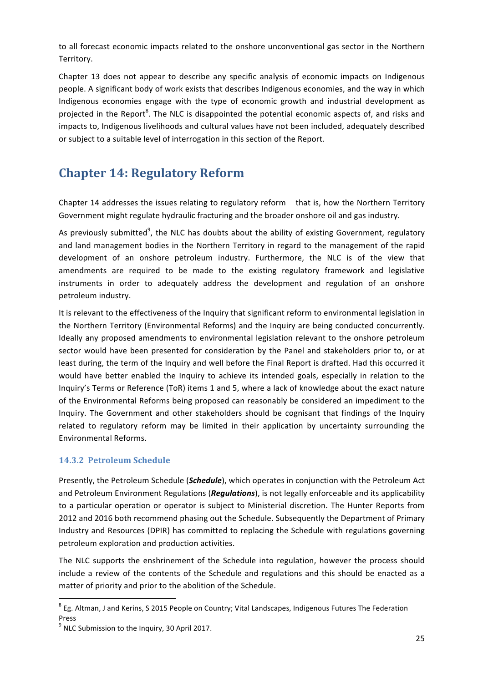to all forecast economic impacts related to the onshore unconventional gas sector in the Northern Territory.

Chapter 13 does not appear to describe any specific analysis of economic impacts on Indigenous people. A significant body of work exists that describes Indigenous economies, and the way in which Indigenous economies engage with the type of economic growth and industrial development as projected in the Report<sup>8</sup>. The NLC is disappointed the potential economic aspects of, and risks and impacts to, Indigenous livelihoods and cultural values have not been included, adequately described or subject to a suitable level of interrogation in this section of the Report.

# **Chapter 14: Regulatory Reform**

Chapter 14 addresses the issues relating to regulatory reform that is, how the Northern Territory Government might regulate hydraulic fracturing and the broader onshore oil and gas industry.

As previously submitted<sup>9</sup>, the NLC has doubts about the ability of existing Government, regulatory and land management bodies in the Northern Territory in regard to the management of the rapid development of an onshore petroleum industry. Furthermore, the NLC is of the view that amendments are required to be made to the existing regulatory framework and legislative instruments in order to adequately address the development and regulation of an onshore petroleum industry.

It is relevant to the effectiveness of the Inquiry that significant reform to environmental legislation in the Northern Territory (Environmental Reforms) and the Inquiry are being conducted concurrently. Ideally any proposed amendments to environmental legislation relevant to the onshore petroleum sector would have been presented for consideration by the Panel and stakeholders prior to, or at least during, the term of the Inquiry and well before the Final Report is drafted. Had this occurred it would have better enabled the Inquiry to achieve its intended goals, especially in relation to the Inquiry's Terms or Reference (ToR) items 1 and 5, where a lack of knowledge about the exact nature of the Environmental Reforms being proposed can reasonably be considered an impediment to the Inquiry. The Government and other stakeholders should be cognisant that findings of the Inquiry related to regulatory reform may be limited in their application by uncertainty surrounding the Environmental Reforms.

### **14.3.2 Petroleum Schedule**

Presently, the Petroleum Schedule (*Schedule*), which operates in conjunction with the Petroleum Act and Petroleum Environment Regulations (*Regulations*), is not legally enforceable and its applicability to a particular operation or operator is subject to Ministerial discretion. The Hunter Reports from 2012 and 2016 both recommend phasing out the Schedule. Subsequently the Department of Primary Industry and Resources (DPIR) has committed to replacing the Schedule with regulations governing petroleum exploration and production activities.

The NLC supports the enshrinement of the Schedule into regulation, however the process should include a review of the contents of the Schedule and regulations and this should be enacted as a matter of priority and prior to the abolition of the Schedule.

<u> 1989 - Johann Barn, mars ann an t-Amhain an t-Amhain an t-Amhain an t-Amhain an t-Amhain an t-Amhain an t-Amh</u>

 $8$  Eg. Altman, J and Kerins, S 2015 People on Country; Vital Landscapes, Indigenous Futures The Federation Press 

 $<sup>9</sup>$  NLC Submission to the Inquiry, 30 April 2017.</sup>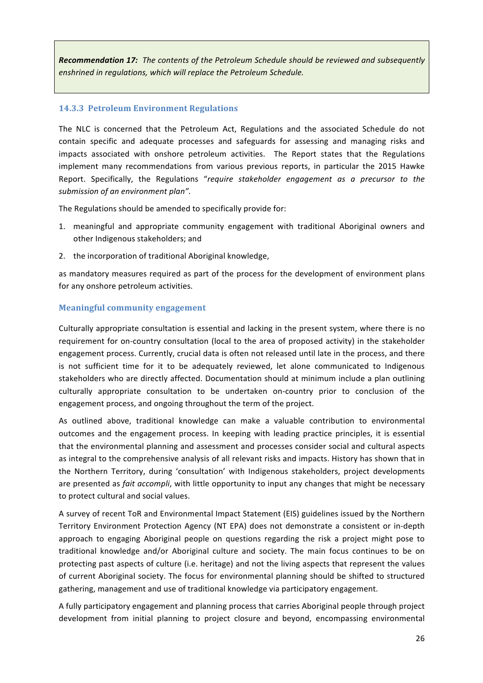**Recommendation 17:** The contents of the Petroleum Schedule should be reviewed and subsequently enshrined in regulations, which will replace the Petroleum Schedule.

### **14.3.3 Petroleum Environment Regulations**

The NLC is concerned that the Petroleum Act, Regulations and the associated Schedule do not contain specific and adequate processes and safeguards for assessing and managing risks and impacts associated with onshore petroleum activities. The Report states that the Regulations implement many recommendations from various previous reports, in particular the 2015 Hawke Report. Specifically, the Regulations "require stakeholder engagement as a precursor to the submission of an environment plan".

The Regulations should be amended to specifically provide for:

- 1. meaningful and appropriate community engagement with traditional Aboriginal owners and other Indigenous stakeholders; and
- 2. the incorporation of traditional Aboriginal knowledge,

as mandatory measures required as part of the process for the development of environment plans for any onshore petroleum activities.

### **Meaningful community engagement**

Culturally appropriate consultation is essential and lacking in the present system, where there is no requirement for on-country consultation (local to the area of proposed activity) in the stakeholder engagement process. Currently, crucial data is often not released until late in the process, and there is not sufficient time for it to be adequately reviewed, let alone communicated to Indigenous stakeholders who are directly affected. Documentation should at minimum include a plan outlining culturally appropriate consultation to be undertaken on-country prior to conclusion of the engagement process, and ongoing throughout the term of the project.

As outlined above, traditional knowledge can make a valuable contribution to environmental outcomes and the engagement process. In keeping with leading practice principles, it is essential that the environmental planning and assessment and processes consider social and cultural aspects as integral to the comprehensive analysis of all relevant risks and impacts. History has shown that in the Northern Territory, during 'consultation' with Indigenous stakeholders, project developments are presented as *fait accompli*, with little opportunity to input any changes that might be necessary to protect cultural and social values.

A survey of recent ToR and Environmental Impact Statement (EIS) guidelines issued by the Northern Territory Environment Protection Agency (NT EPA) does not demonstrate a consistent or in-depth approach to engaging Aboriginal people on questions regarding the risk a project might pose to traditional knowledge and/or Aboriginal culture and society. The main focus continues to be on protecting past aspects of culture (i.e. heritage) and not the living aspects that represent the values of current Aboriginal society. The focus for environmental planning should be shifted to structured gathering, management and use of traditional knowledge via participatory engagement.

A fully participatory engagement and planning process that carries Aboriginal people through project development from initial planning to project closure and beyond, encompassing environmental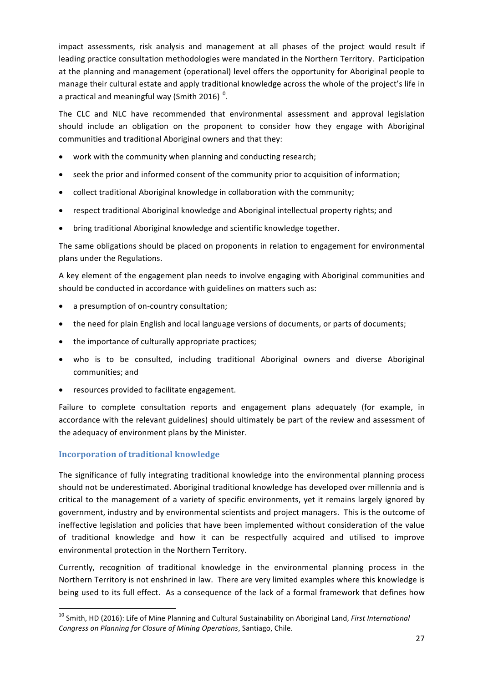impact assessments, risk analysis and management at all phases of the project would result if leading practice consultation methodologies were mandated in the Northern Territory. Participation at the planning and management (operational) level offers the opportunity for Aboriginal people to manage their cultural estate and apply traditional knowledge across the whole of the project's life in a practical and meaningful way (Smith 2016)  $^0$ .

The CLC and NLC have recommended that environmental assessment and approval legislation should include an obligation on the proponent to consider how they engage with Aboriginal communities and traditional Aboriginal owners and that they:

- work with the community when planning and conducting research;
- seek the prior and informed consent of the community prior to acquisition of information;
- collect traditional Aboriginal knowledge in collaboration with the community;
- respect traditional Aboriginal knowledge and Aboriginal intellectual property rights; and
- bring traditional Aboriginal knowledge and scientific knowledge together.

The same obligations should be placed on proponents in relation to engagement for environmental plans under the Regulations.

A key element of the engagement plan needs to involve engaging with Aboriginal communities and should be conducted in accordance with guidelines on matters such as:

- a presumption of on-country consultation;
- the need for plain English and local language versions of documents, or parts of documents;
- the importance of culturally appropriate practices;
- who is to be consulted, including traditional Aboriginal owners and diverse Aboriginal communities; and
- resources provided to facilitate engagement.

Failure to complete consultation reports and engagement plans adequately (for example, in accordance with the relevant guidelines) should ultimately be part of the review and assessment of the adequacy of environment plans by the Minister.

### **Incorporation of traditional knowledge**

 

The significance of fully integrating traditional knowledge into the environmental planning process should not be underestimated. Aboriginal traditional knowledge has developed over millennia and is critical to the management of a variety of specific environments, yet it remains largely ignored by government, industry and by environmental scientists and project managers. This is the outcome of ineffective legislation and policies that have been implemented without consideration of the value of traditional knowledge and how it can be respectfully acquired and utilised to improve environmental protection in the Northern Territory.

Currently, recognition of traditional knowledge in the environmental planning process in the Northern Territory is not enshrined in law. There are very limited examples where this knowledge is being used to its full effect. As a consequence of the lack of a formal framework that defines how

<sup>&</sup>lt;sup>10</sup> Smith, HD (2016): Life of Mine Planning and Cultural Sustainability on Aboriginal Land, *First International Congress on Planning for Closure of Mining Operations, Santiago, Chile.*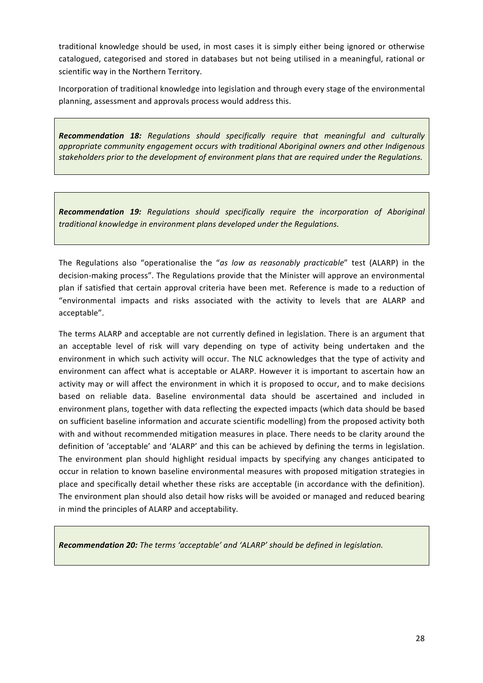traditional knowledge should be used, in most cases it is simply either being ignored or otherwise catalogued, categorised and stored in databases but not being utilised in a meaningful, rational or scientific way in the Northern Territory.

Incorporation of traditional knowledge into legislation and through every stage of the environmental planning, assessment and approvals process would address this.

*Recommendation 18: Regulations should specifically require that meaningful and culturally appropriate community engagement occurs with traditional Aboriginal owners and other Indigenous* stakeholders prior to the development of environment plans that are required under the Regulations.

*Recommendation 19: Regulations should specifically require the incorporation of Aboriginal traditional knowledge in environment plans developed under the Regulations.*

The Regulations also "operationalise the "as low as reasonably practicable" test (ALARP) in the decision-making process". The Regulations provide that the Minister will approve an environmental plan if satisfied that certain approval criteria have been met. Reference is made to a reduction of "environmental impacts and risks associated with the activity to levels that are ALARP and acceptable".

The terms ALARP and acceptable are not currently defined in legislation. There is an argument that an acceptable level of risk will vary depending on type of activity being undertaken and the environment in which such activity will occur. The NLC acknowledges that the type of activity and environment can affect what is acceptable or ALARP. However it is important to ascertain how an activity may or will affect the environment in which it is proposed to occur, and to make decisions based on reliable data. Baseline environmental data should be ascertained and included in environment plans, together with data reflecting the expected impacts (which data should be based on sufficient baseline information and accurate scientific modelling) from the proposed activity both with and without recommended mitigation measures in place. There needs to be clarity around the definition of 'acceptable' and 'ALARP' and this can be achieved by defining the terms in legislation. The environment plan should highlight residual impacts by specifying any changes anticipated to occur in relation to known baseline environmental measures with proposed mitigation strategies in place and specifically detail whether these risks are acceptable (in accordance with the definition). The environment plan should also detail how risks will be avoided or managed and reduced bearing in mind the principles of ALARP and acceptability.

**Recommendation 20:** The terms 'acceptable' and 'ALARP' should be defined in legislation.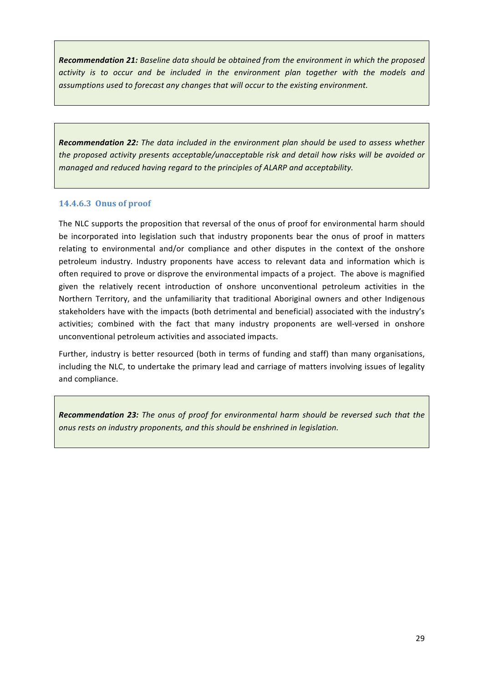**Recommendation 21:** Baseline data should be obtained from the environment in which the proposed *activity is to occur and be included in the environment plan together with the models and assumptions used to forecast any changes that will occur to the existing environment.* 

**Recommendation 22:** The data included in the environment plan should be used to assess whether the proposed activity presents acceptable/unacceptable risk and detail how risks will be avoided or *managed and reduced having regard to the principles of ALARP and acceptability.* 

### **14.4.6.3 Onus of proof**

The NLC supports the proposition that reversal of the onus of proof for environmental harm should be incorporated into legislation such that industry proponents bear the onus of proof in matters relating to environmental and/or compliance and other disputes in the context of the onshore petroleum industry. Industry proponents have access to relevant data and information which is often required to prove or disprove the environmental impacts of a project. The above is magnified given the relatively recent introduction of onshore unconventional petroleum activities in the Northern Territory, and the unfamiliarity that traditional Aboriginal owners and other Indigenous stakeholders have with the impacts (both detrimental and beneficial) associated with the industry's activities; combined with the fact that many industry proponents are well-versed in onshore unconventional petroleum activities and associated impacts.

Further, industry is better resourced (both in terms of funding and staff) than many organisations, including the NLC, to undertake the primary lead and carriage of matters involving issues of legality and compliance.

**Recommendation 23:** The onus of proof for environmental harm should be reversed such that the *onus rests on industry proponents, and this should be enshrined in legislation.*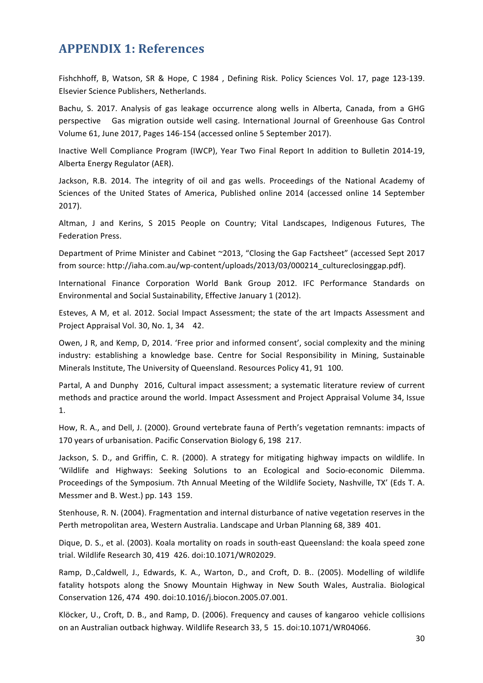# **APPENDIX 1: References**

Fishchhoff, B, Watson, SR & Hope, C 1984, Defining Risk. Policy Sciences Vol. 17, page 123-139. Elsevier Science Publishers, Netherlands.

Bachu, S. 2017. Analysis of gas leakage occurrence along wells in Alberta, Canada, from a GHG perspective Gas migration outside well casing. International Journal of Greenhouse Gas Control Volume 61, June 2017, Pages 146-154 (accessed online 5 September 2017).

Inactive Well Compliance Program (IWCP), Year Two Final Report In addition to Bulletin 2014-19, Alberta Energy Regulator (AER).

Jackson, R.B. 2014. The integrity of oil and gas wells. Proceedings of the National Academy of Sciences of the United States of America, Published online 2014 (accessed online 14 September 2017).

Altman, J and Kerins, S 2015 People on Country; Vital Landscapes, Indigenous Futures, The Federation Press.

Department of Prime Minister and Cabinet ~2013, "Closing the Gap Factsheet" (accessed Sept 2017 from source: http://iaha.com.au/wp-content/uploads/2013/03/000214 cultureclosinggap.pdf).

International Finance Corporation World Bank Group 2012. IFC Performance Standards on Environmental and Social Sustainability, Effective January 1 (2012).

Esteves, A M, et al. 2012. Social Impact Assessment; the state of the art Impacts Assessment and Project Appraisal Vol. 30, No. 1, 34 42.

Owen, J R, and Kemp, D, 2014. 'Free prior and informed consent', social complexity and the mining industry: establishing a knowledge base. Centre for Social Responsibility in Mining, Sustainable Minerals Institute, The University of Queensland. Resources Policy 41, 91 100.

Partal, A and Dunphy 2016, Cultural impact assessment; a systematic literature review of current methods and practice around the world. Impact Assessment and Project Appraisal Volume 34, Issue 1.

How, R. A., and Dell, J. (2000). Ground vertebrate fauna of Perth's vegetation remnants: impacts of 170 years of urbanisation. Pacific Conservation Biology 6, 198 217.

Jackson, S. D., and Griffin, C. R. (2000). A strategy for mitigating highway impacts on wildlife. In 'Wildlife and Highways: Seeking Solutions to an Ecological and Socio-economic Dilemma. Proceedings of the Symposium. 7th Annual Meeting of the Wildlife Society, Nashville, TX' (Eds T. A. Messmer and B. West.) pp. 143 159.

Stenhouse, R. N. (2004). Fragmentation and internal disturbance of native vegetation reserves in the Perth metropolitan area, Western Australia. Landscape and Urban Planning 68, 389 401.

Dique, D. S., et al. (2003). Koala mortality on roads in south-east Queensland: the koala speed zone trial. Wildlife Research 30, 419 426. doi:10.1071/WR02029.

Ramp, D.,Caldwell, J., Edwards, K. A., Warton, D., and Croft, D. B.. (2005). Modelling of wildlife fatality hotspots along the Snowy Mountain Highway in New South Wales, Australia. Biological Conservation 126, 474 490. doi:10.1016/j.biocon.2005.07.001.

Klöcker, U., Croft, D. B., and Ramp, D. (2006). Frequency and causes of kangaroo vehicle collisions on an Australian outback highway. Wildlife Research 33, 5 15. doi:10.1071/WR04066.